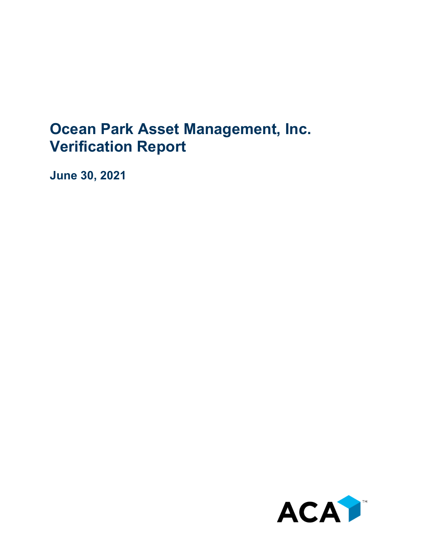# **Ocean Park Asset Management, Inc. Verification Report**

**June 30, 2021**

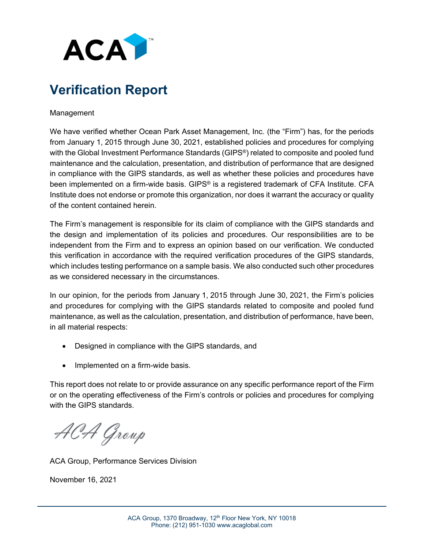

# **Verification Report**

### Management

We have verified whether Ocean Park Asset Management, Inc. (the "Firm") has, for the periods from January 1, 2015 through June 30, 2021, established policies and procedures for complying with the Global Investment Performance Standards (GIPS<sup>®</sup>) related to composite and pooled fund maintenance and the calculation, presentation, and distribution of performance that are designed in compliance with the GIPS standards, as well as whether these policies and procedures have been implemented on a firm-wide basis. GIPS<sup>®</sup> is a registered trademark of CFA Institute. CFA Institute does not endorse or promote this organization, nor does it warrant the accuracy or quality of the content contained herein.

The Firm's management is responsible for its claim of compliance with the GIPS standards and the design and implementation of its policies and procedures. Our responsibilities are to be independent from the Firm and to express an opinion based on our verification. We conducted this verification in accordance with the required verification procedures of the GIPS standards, which includes testing performance on a sample basis. We also conducted such other procedures as we considered necessary in the circumstances.

In our opinion, for the periods from January 1, 2015 through June 30, 2021, the Firm's policies and procedures for complying with the GIPS standards related to composite and pooled fund maintenance, as well as the calculation, presentation, and distribution of performance, have been, in all material respects:

- Designed in compliance with the GIPS standards, and
- Implemented on a firm-wide basis.

This report does not relate to or provide assurance on any specific performance report of the Firm or on the operating effectiveness of the Firm's controls or policies and procedures for complying with the GIPS standards.

ACA Group

ACA Group, Performance Services Division

November 16, 2021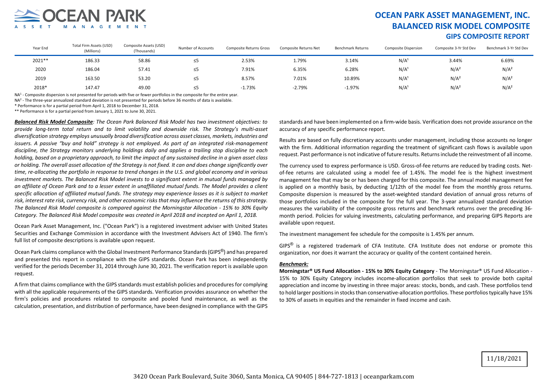

## **OCEAN PARK ASSET MANAGEMENT, INC. BALANCED RISK MODEL COMPOSITE GIPS COMPOSITE REPORT**

| Year End | Total Firm Assets (USD)<br>(Millions) | Composite Assets (USD)<br>(Thousands) | Number of Accounts | Composite Returns Gross | Composite Returns Net | Benchmark Returns | <b>Composite Dispersion</b> | Composite 3-Yr Std Dev | Benchmark 3-Yr Std Dev |
|----------|---------------------------------------|---------------------------------------|--------------------|-------------------------|-----------------------|-------------------|-----------------------------|------------------------|------------------------|
| 2021**   | 186.33                                | 58.86                                 | ≤5                 | 2.53%                   | 1.79%                 | 3.14%             | N/A                         | 3.44%                  | 6.69%                  |
| 2020     | 186.04                                | 57.41                                 | ≤5                 | 7.91%                   | 6.35%                 | 6.28%             | N/A                         | $N/A^2$                | N/A <sup>2</sup>       |
| 2019     | 163.50                                | 53.20                                 | ≤5                 | 8.57%                   | 7.01%                 | 10.89%            | N/A                         | N/A <sup>2</sup>       | N/A <sup>2</sup>       |
| 2018*    | 147.47                                | 49.00                                 | ≤5                 | $-1.73%$                | -2.79%                | $-1.97%$          | N/A                         | $N/A^2$                | N/A <sup>2</sup>       |

NA1 - Composite dispersion is not presented for periods with five or fewer portfolios in the composite for the entire year.

NA<sup>2</sup> - The three-year annualized standard deviation is not presented for periods before 36 months of data is available.

\* Performance is for a partial period from April 1, 2018 to December 31, 2018.

\*\* Performance is for a partial period from January 1, 2021 to June 30, 2021.

*Balanced Risk Model Composite: The Ocean Park Balanced Risk Model has two investment objectives: to provide long-term total return and to limit volatility and downside risk. The Strategy's multi-asset diversification strategy employs unusually broad diversification across asset classes, markets, industries and issuers. A passive "buy and hold" strategy is not employed. As part of an integrated risk-management discipline, the Strategy monitors underlying holdings daily and applies a trailing stop discipline to each holding, based on a proprietary approach, to limit the impact of any sustained decline in a given asset class or holding. The overall asset allocation of the Strategy is not fixed. It can and does change significantly over time, re-allocating the portfolio in response to trend changes in the U.S. and global economy and in various investment markets. The Balanced Risk Model invests to a significant extent in mutual funds managed by an affiliate of Ocean Park and to a lesser extent in unaffiliated mutual funds. The Model provides a client*  specific allocation of affiliated mutual funds. The strategy may experience losses as it is subject to market *risk, interest rate risk, currency risk, and other economic risks that may influence the returns of this strategy. The Balanced Risk Model composite is compared against the Morningstar Allocation - 15% to 30% Equity Category. The Balanced Risk Model composite was created in April 2018 and incepted on April 1, 2018.*

Ocean Park Asset Management, Inc. ("Ocean Park") is a registered investment adviser with United States Securities and Exchange Commission in accordance with the Investment Advisers Act of 1940. The firm's full list of composite descriptions is available upon request.

Ocean Park claims compliance with the Global Investment Performance Standards (GIPS<sup>®</sup>) and has prepared and presented this report in compliance with the GIPS standards. Ocean Park has been independently verified for the periods December 31, 2014 through June 30, 2021. The verification report is available upon request.

A firm that claims compliance with the GIPS standards must establish policies and procedures for complying with all the applicable requirements of the GIPS standards. Verification provides assurance on whether the firm's policies and procedures related to composite and pooled fund maintenance, as well as the calculation, presentation, and distribution of performance, have been designed in compliance with the GIPS

standards and have been implemented on a firm-wide basis. Verification does not provide assurance on the accuracy of any specific performance report.

Results are based on fully discretionary accounts under management, including those accounts no longer with the firm. Additional information regarding the treatment of significant cash flows is available upon request. Past performance is not indicative of future results. Returns include the reinvestment of all income.

The currency used to express performance is USD. Gross-of-fee returns are reduced by trading costs. Netof-fee returns are calculated using a model fee of 1.45%. The model fee is the highest investment management fee that may be or has been charged for this composite. The annual model management fee is applied on a monthly basis, by deducting 1/12th of the model fee from the monthly gross returns. Composite dispersion is measured by the asset-weighted standard deviation of annual gross returns of those portfolios included in the composite for the full year. The 3-year annualized standard deviation measures the variability of the composite gross returns and benchmark returns over the preceding 36 month period. Policies for valuing investments, calculating performance, and preparing GIPS Reports are available upon request.

The investment management fee schedule for the composite is 1.45% per annum.

 $GIPS^{\circledR}$  is a registered trademark of CFA Institute. CFA Institute does not endorse or promote this organization, nor does it warrant the accuracy or quality of the content contained herein.

#### *Benchmark:*

**Morningstar® US Fund Allocation - 15% to 30% Equity Category** - The Morningstar® US Fund Allocation - 15% to 30% Equity Category includes income-allocation portfolios that seek to provide both capital appreciation and income by investing in three major areas: stocks, bonds, and cash. These portfolios tend to hold larger positions in stocks than conservative-allocation portfolios. These portfolios typically have 15% to 30% of assets in equities and the remainder in fixed income and cash.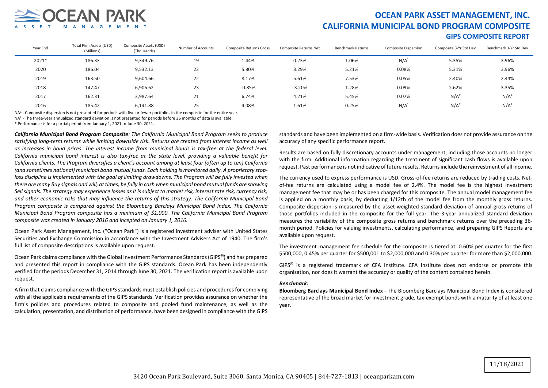

### **OCEAN PARK ASSET MANAGEMENT, INC. CALIFORNIA MUNICIPAL BOND PROGRAM COMPOSITE GIPS COMPOSITE REPORT**

| Year End | Total Firm Assets (USD)<br>(Millions) | Composite Assets (USD)<br>(Thousands) | Number of Accounts | <b>Composite Returns Gross</b> | Composite Returns Net | Benchmark Returns | <b>Composite Dispersion</b> | Composite 3-Yr Std Dev | Benchmark 3-Yr Std Dev |
|----------|---------------------------------------|---------------------------------------|--------------------|--------------------------------|-----------------------|-------------------|-----------------------------|------------------------|------------------------|
| 2021*    | 186.33                                | 9,349.76                              | 19                 | 1.44%                          | 0.23%                 | 1.06%             | N/A                         | 5.35%                  | 3.96%                  |
| 2020     | 186.04                                | 9,532.13                              | 22                 | 5.80%                          | 3.29%                 | 5.21%             | 0.08%                       | 5.31%                  | 3.96%                  |
| 2019     | 163.50                                | 9,604.66                              | 22                 | 8.17%                          | 5.61%                 | 7.53%             | 0.05%                       | 2.40%                  | 2.44%                  |
| 2018     | 147.47                                | 6,906.62                              | 23                 | $-0.85%$                       | $-3.20%$              | 1.28%             | 0.09%                       | 2.62%                  | 3.35%                  |
| 2017     | 162.31                                | 3,987.64                              | 21                 | 6.74%                          | 4.21%                 | 5.45%             | 0.07%                       | N/A <sup>2</sup>       | N/A <sup>2</sup>       |
| 2016     | 185.42                                | 6,141.88                              | 25                 | 4.08%                          | 1.61%                 | 0.25%             | N/A                         | N/A <sup>2</sup>       | N/A <sup>2</sup>       |

NA<sup>1</sup> - Composite dispersion is not presented for periods with five or fewer portfolios in the composite for the entire year.

 $NA<sup>2</sup>$  - The three-year annualized standard deviation is not presented for periods before 36 months of data is available.

\* Performance is for a partial period from January 1, 2021 to June 30, 2021.

*California Municipal Bond Program Composite: The California Municipal Bond Program seeks to produce*  satisfying long-term returns while limiting downside risk. Returns are created from interest income as well *as increases in bond prices. The interest income from municipal bonds is tax-free at the federal level. California municipal bond interest is also tax-free at the state level, providing a valuable benefit for California clients. The Program diversifies a client's account among at least four (often up to ten) California (and sometimes national) municipal bond mutual funds. Each holding is monitored daily. A proprietary stop*loss discipline is implemented with the goal of limiting drawdowns. The Program will be fully invested when *there are many Buy signals and will, at times, be fully in cash when municipal bond mutual funds are showing Sell signals. The strategy may experience losses as it is subject to market risk, interest rate risk, currency risk, and other economic risks that may influence the returns of this strategy. The California Municipal Bond Program composite is compared against the Bloomberg Barclays Municipal Bond Index. The California Municipal Bond Program composite has a minimum of \$1,000. The California Municipal Bond Program composite was created in January 2016 and incepted on January 1, 2016.*

Ocean Park Asset Management, Inc. ("Ocean Park") is a registered investment adviser with United States Securities and Exchange Commission in accordance with the Investment Advisers Act of 1940. The firm's full list of composite descriptions is available upon request.

Ocean Park claims compliance with the Global Investment Performance Standards (GIPS®) and has prepared and presented this report in compliance with the GIPS standards. Ocean Park has been independently verified for the periods December 31, 2014 through June 30, 2021. The verification report is available upon request.

A firm that claims compliance with the GIPS standards must establish policies and procedures for complying with all the applicable requirements of the GIPS standards. Verification provides assurance on whether the firm's policies and procedures related to composite and pooled fund maintenance, as well as the calculation, presentation, and distribution of performance, have been designed in compliance with the GIPS

standards and have been implemented on a firm-wide basis. Verification does not provide assurance on the accuracy of any specific performance report.

Results are based on fully discretionary accounts under management, including those accounts no longer with the firm. Additional information regarding the treatment of significant cash flows is available upon request. Past performance is not indicative of future results. Returns include the reinvestment of all income.

The currency used to express performance is USD. Gross-of-fee returns are reduced by trading costs. Netof-fee returns are calculated using a model fee of 2.4%. The model fee is the highest investment management fee that may be or has been charged for this composite. The annual model management fee is applied on a monthly basis, by deducting 1/12th of the model fee from the monthly gross returns. Composite dispersion is measured by the asset-weighted standard deviation of annual gross returns of those portfolios included in the composite for the full year. The 3-year annualized standard deviation measures the variability of the composite gross returns and benchmark returns over the preceding 36 month period. Policies for valuing investments, calculating performance, and preparing GIPS Reports are available upon request.

The investment management fee schedule for the composite is tiered at: 0.60% per quarter for the first \$500,000, 0.45% per quarter for \$500,001 to \$2,000,000 and 0.30% per quarter for more than \$2,000,000.

 $GIPS^{\circledR}$  is a registered trademark of CFA Institute. CFA Institute does not endorse or promote this organization, nor does it warrant the accuracy or quality of the content contained herein.

#### *Benchmark:*

**Bloomberg Barclays Municipal Bond Index** - The Bloomberg Barclays Municipal Bond Index is considered representative of the broad market for investment grade, tax-exempt bonds with a maturity of at least one year.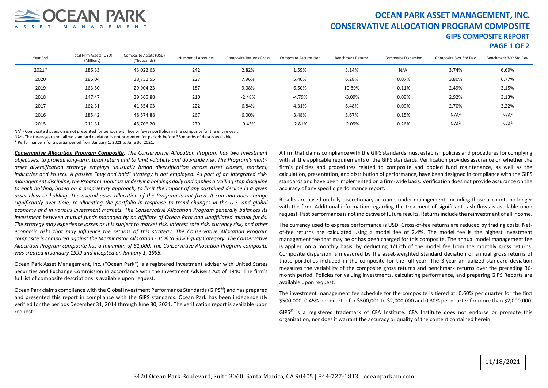

# **OCEAN PARK ASSET MANAGEMENT, INC. CONSERVATIVE ALLOCATION PROGRAM COMPOSITE GIPS COMPOSITE REPORT**

### **PAGE 1 OF 2**

| Year End | Total Firm Assets (USD)<br>(Millions) | Composite Assets (USD)<br>(Thousands) | Number of Accounts | Composite Returns Gross | Composite Returns Net | <b>Benchmark Returns</b> | <b>Composite Dispersion</b> | Composite 3-Yr Std Dev | Benchmark 3-Yr Std Dev |
|----------|---------------------------------------|---------------------------------------|--------------------|-------------------------|-----------------------|--------------------------|-----------------------------|------------------------|------------------------|
| 2021*    | 186.33                                | 43,022.63                             | 242                | 2.82%                   | 1.59%                 | 3.14%                    | N/A <sup>1</sup>            | 3.74%                  | 6.69%                  |
| 2020     | 186.04                                | 38,731.55                             | 227                | 7.96%                   | 5.40%                 | 6.28%                    | 0.07%                       | 3.80%                  | 6.77%                  |
| 2019     | 163.50                                | 29,904.23                             | 187                | 9.08%                   | 6.50%                 | 10.89%                   | 0.11%                       | 2.49%                  | 3.15%                  |
| 2018     | 147.47                                | 39,565.88                             | 210                | $-2.48%$                | $-4.79%$              | $-3.09%$                 | 0.09%                       | 2.92%                  | 3.13%                  |
| 2017     | 162.31                                | 41,554.03                             | 222                | 6.84%                   | 4.31%                 | 6.48%                    | 0.09%                       | 2.70%                  | 3.22%                  |
| 2016     | 185.42                                | 48.574.88                             | 267                | 6.00%                   | 3.48%                 | 5.67%                    | 0.15%                       | N/A <sup>2</sup>       | N/A <sup>2</sup>       |
| 2015     | 211.31                                | 45,706.20                             | 279                | $-0.45%$                | $-2.81%$              | $-2.09%$                 | 0.26%                       | N/A <sup>2</sup>       | N/A <sup>2</sup>       |
|          |                                       |                                       |                    |                         |                       |                          |                             |                        |                        |

NA<sup>1</sup> - Composite dispersion is not presented for periods with five or fewer portfolios in the composite for the entire year.

NA2 - The three-year annualized standard deviation is not presented for periods before 36 months of data is available.

\* Performance is for a partial period from January 1, 2021 to June 30, 2021.

*Conservative Allocation Program Composite: The Conservative Allocation Program has two investment objectives: to provide long-term total return and to limit volatility and downside risk. The Program's multiasset diversification strategy employs unusually broad diversification across asset classes, markets, industries and issuers. A passive "buy and hold" strategy is not employed. As part of an integrated riskmanagement discipline, the Program monitors underlying holdings daily and applies a trailing stop discipline to each holding, based on a proprietary approach, to limit the impact of any sustained decline in a given*  asset class or holding. The overall asset allocation of the Program is not fixed. It can and does change *significantly over time, re-allocating the portfolio in response to trend changes in the U.S. and global economy and in various investment markets. The Conservative Allocation Program generally balances its investment between mutual funds managed by an affiliate of Ocean Park and unaffiliated mutual funds. The strategy may experience losses as it is subject to market risk, interest rate risk, currency risk, and other economic risks that may influence the returns of this strategy. The Conservative Allocation Program composite is compared against the Morningstar Allocation - 15% to 30% Equity Category. The Conservative Allocation Program composite has a minimum of \$1,000. The Conservative Allocation Program composite was created in January 1999 and incepted on January 1, 1995.*

Ocean Park Asset Management, Inc. ("Ocean Park") is a registered investment adviser with United States Securities and Exchange Commission in accordance with the Investment Advisers Act of 1940. The firm's full list of composite descriptions is available upon request.

Ocean Park claims compliance with the Global Investment Performance Standards (GIPS<sup>®</sup>) and has prepared and presented this report in compliance with the GIPS standards. Ocean Park has been independently verified for the periods December 31, 2014 through June 30, 2021. The verification report is available upon request.

A firm that claims compliance with the GIPS standards must establish policies and procedures for complying with all the applicable requirements of the GIPS standards. Verification provides assurance on whether the firm's policies and procedures related to composite and pooled fund maintenance, as well as the calculation, presentation, and distribution of performance, have been designed in compliance with the GIPS standards and have been implemented on a firm-wide basis. Verification does not provide assurance on the accuracy of any specific performance report.

Results are based on fully discretionary accounts under management, including those accounts no longer with the firm. Additional information regarding the treatment of significant cash flows is available upon request. Past performance is not indicative of future results. Returns include the reinvestment of all income.

The currency used to express performance is USD. Gross-of-fee returns are reduced by trading costs. Netof-fee returns are calculated using a model fee of 2.4%. The model fee is the highest investment management fee that may be or has been charged for this composite. The annual model management fee is applied on a monthly basis, by deducting 1/12th of the model fee from the monthly gross returns. Composite dispersion is measured by the asset-weighted standard deviation of annual gross returns of those portfolios included in the composite for the full year. The 3-year annualized standard deviation measures the variability of the composite gross returns and benchmark returns over the preceding 36 month period. Policies for valuing investments, calculating performance, and preparing GIPS Reports are available upon request.

The investment management fee schedule for the composite is tiered at: 0.60% per quarter for the first \$500,000, 0.45% per quarter for \$500,001 to \$2,000,000 and 0.30% per quarter for more than \$2,000,000.

 $GIPS^{\circledR}$  is a registered trademark of CFA Institute. CFA Institute does not endorse or promote this organization, nor does it warrant the accuracy or quality of the content contained herein.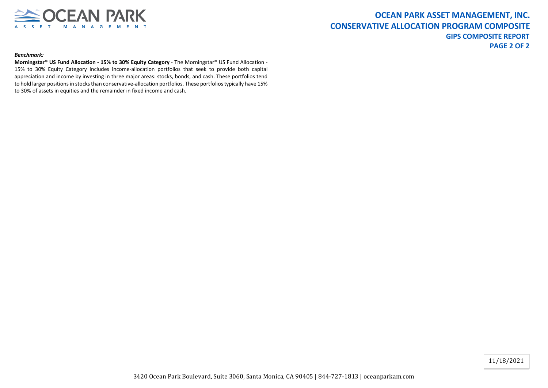

#### *Benchmark:*

**Morningstar® US Fund Allocation - 15% to 30% Equity Category** - The Morningstar® US Fund Allocation - 15% to 30% Equity Category includes income-allocation portfolios that seek to provide both capital appreciation and income by investing in three major areas: stocks, bonds, and cash. These portfolios tend to hold larger positions in stocks than conservative-allocation portfolios. These portfolios typically have 15% to 30% of assets in equities and the remainder in fixed income and cash.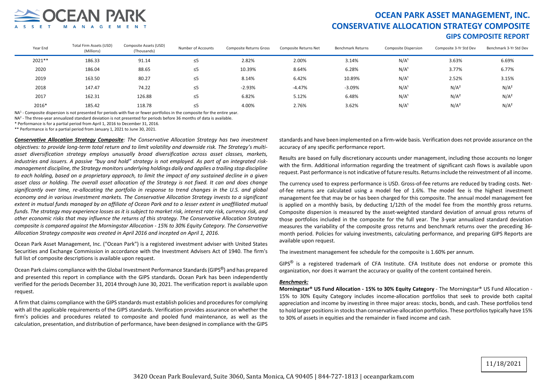

### **OCEAN PARK ASSET MANAGEMENT, INC. CONSERVATIVE ALLOCATION STRATEGY COMPOSITE GIPS COMPOSITE REPORT**

| Year End | Total Firm Assets (USD)<br>(Millions) | Composite Assets (USD)<br>(Thousands) | Number of Accounts | Composite Returns Gross | Composite Returns Net | Benchmark Returns | <b>Composite Dispersion</b> | Composite 3-Yr Std Dev | Benchmark 3-Yr Std Dev |
|----------|---------------------------------------|---------------------------------------|--------------------|-------------------------|-----------------------|-------------------|-----------------------------|------------------------|------------------------|
| 2021 **  | 186.33                                | 91.14                                 | $\leq 5$           | 2.82%                   | 2.00%                 | 3.14%             | N/A                         | 3.63%                  | 6.69%                  |
| 2020     | 186.04                                | 88.65                                 | $\leq$ 5           | 10.39%                  | 8.64%                 | 6.28%             | N/A                         | 3.77%                  | 6.77%                  |
| 2019     | 163.50                                | 80.27                                 | $\leq 5$           | 8.14%                   | 6.42%                 | 10.89%            | N/A                         | 2.52%                  | 3.15%                  |
| 2018     | 147.47                                | 74.22                                 | ≤5                 | $-2.93%$                | $-4.47%$              | $-3.09%$          | N/A                         | N/A <sup>2</sup>       | N/A <sup>2</sup>       |
| 2017     | 162.31                                | 126.88                                | $\leq$ 5           | 6.82%                   | 5.12%                 | 6.48%             | N/A                         | N/A <sup>2</sup>       | N/A <sup>2</sup>       |
| 2016*    | 185.42                                | 118.78                                | $\leq$ 5           | 4.00%                   | 2.76%                 | 3.62%             | N/A                         | N/A <sup>2</sup>       | N/A <sup>2</sup>       |

NA<sup>1</sup> - Composite dispersion is not presented for periods with five or fewer portfolios in the composite for the entire year.

 $NA<sup>2</sup>$  - The three-year annualized standard deviation is not presented for periods before 36 months of data is available.

\* Performance is for a partial period from April 1, 2016 to December 31, 2016.

\*\* Performance is for a partial period from January 1, 2021 to June 30, 2021.

*Conservative Allocation Strategy Composite: The Conservative Allocation Strategy has two investment objectives: to provide long-term total return and to limit volatility and downside risk. The Strategy's multiasset diversification strategy employs unusually broad diversification across asset classes, markets, industries and issuers. A passive "buy and hold" strategy is not employed. As part of an integrated riskmanagement discipline, the Strategy monitors underlying holdings daily and applies a trailing stop discipline to each holding, based on a proprietary approach, to limit the impact of any sustained decline in a given asset class or holding. The overall asset allocation of the Strategy is not fixed. It can and does change significantly over time, re-allocating the portfolio in response to trend changes in the U.S. and global economy and in various investment markets. The Conservative Allocation Strategy invests to a significant extent in mutual funds managed by an affiliate of Ocean Park and to a lesser extent in unaffiliated mutual funds. The strategy may experience losses as it is subject to market risk, interest rate risk, currency risk, and other economic risks that may influence the returns of this strategy. The Conservative Allocation Strategy composite is compared against the Morningstar Allocation - 15% to 30% Equity Category. The Conservative Allocation Strategy composite was created in April 2016 and incepted on April 1, 2016.*

Ocean Park Asset Management, Inc. ("Ocean Park") is a registered investment adviser with United States Securities and Exchange Commission in accordance with the Investment Advisers Act of 1940. The firm's full list of composite descriptions is available upon request.

Ocean Park claims compliance with the Global Investment Performance Standards (GIPS®) and has prepared and presented this report in compliance with the GIPS standards. Ocean Park has been independently verified for the periods December 31, 2014 through June 30, 2021. The verification report is available upon request.

A firm that claims compliance with the GIPS standards must establish policies and procedures for complying with all the applicable requirements of the GIPS standards. Verification provides assurance on whether the firm's policies and procedures related to composite and pooled fund maintenance, as well as the calculation, presentation, and distribution of performance, have been designed in compliance with the GIPS standards and have been implemented on a firm-wide basis. Verification does not provide assurance on the accuracy of any specific performance report.

Results are based on fully discretionary accounts under management, including those accounts no longer with the firm. Additional information regarding the treatment of significant cash flows is available upon request. Past performance is not indicative of future results. Returns include the reinvestment of all income.

The currency used to express performance is USD. Gross-of-fee returns are reduced by trading costs. Netof-fee returns are calculated using a model fee of 1.6%. The model fee is the highest investment management fee that may be or has been charged for this composite. The annual model management fee is applied on a monthly basis, by deducting 1/12th of the model fee from the monthly gross returns. Composite dispersion is measured by the asset-weighted standard deviation of annual gross returns of those portfolios included in the composite for the full year. The 3-year annualized standard deviation measures the variability of the composite gross returns and benchmark returns over the preceding 36 month period. Policies for valuing investments, calculating performance, and preparing GIPS Reports are available upon request.

The investment management fee schedule for the composite is 1.60% per annum.

 $GIPS^@$  is a registered trademark of CFA Institute. CFA Institute does not endorse or promote this organization, nor does it warrant the accuracy or quality of the content contained herein.

#### *Benchmark:*

**Morningstar® US Fund Allocation - 15% to 30% Equity Category** - The Morningstar® US Fund Allocation - 15% to 30% Equity Category includes income-allocation portfolios that seek to provide both capital appreciation and income by investing in three major areas: stocks, bonds, and cash. These portfolios tend to hold larger positions in stocks than conservative-allocation portfolios. These portfolios typically have 15% to 30% of assets in equities and the remainder in fixed income and cash.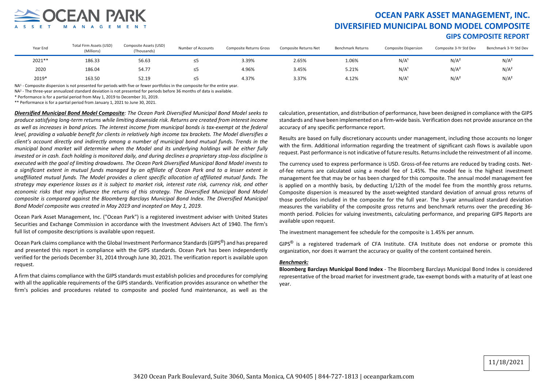

### **OCEAN PARK ASSET MANAGEMENT, INC. DIVERSIFIED MUNICIPAL BOND MODEL COMPOSITE GIPS COMPOSITE REPORT**

| Year End | Total Firm Assets (USD)<br>(Millions) | Composite Assets (USD)<br>(Thousands) | Number of Accounts | <b>Composite Returns Gross</b> | Composite Returns Net | Benchmark Returns | <b>Composite Dispersion</b> | Composite 3-Yr Std Dev | Benchmark 3-Yr Std Dev |
|----------|---------------------------------------|---------------------------------------|--------------------|--------------------------------|-----------------------|-------------------|-----------------------------|------------------------|------------------------|
| 2021**   | 186.33                                | 56.63                                 | --                 | 3.39%                          | 2.65%                 | 1.06%             | N/A                         | N/A                    | N/A <sup>2</sup>       |
| 2020     | 186.04                                | 54.77                                 |                    | 4.96%                          | 3.45%                 | 5.21%             | N/A                         | N/A                    | N/A <sup>2</sup>       |
| 2019*    | 163.50                                | 52.19                                 |                    | 4.37%                          | 3.37%                 | 4.12%             | N/A                         | N/A                    | $N/A^2$                |

NA<sup>1</sup> - Composite dispersion is not presented for periods with five or fewer portfolios in the composite for the entire year.

NA<sup>2</sup> - The three-year annualized standard deviation is not presented for periods before 36 months of data is available.

\* Performance is for a partial period from May 1, 2019 to December 31, 2019.

\*\* Performance is for a partial period from January 1, 2021 to June 30, 2021.

*Diversified Municipal Bond Model Composite: The Ocean Park Diversified Municipal Bond Model seeks to produce satisfying long-term returns while limiting downside risk. Returns are created from interest income*  as well as increases in bond prices. The interest income from municipal bonds is tax-exempt at the federal *level, providing a valuable benefit for clients in relatively high income tax brackets. The Model diversifies a client's account directly and indirectly among a number of municipal bond mutual funds. Trends in the municipal bond market will determine when the Model and its underlying holdings will be either fully invested or in cash. Each holding is monitored daily, and during declines a proprietary stop-loss discipline is executed with the goal of limiting drawdowns. The Ocean Park Diversified Municipal Bond Model invests to a significant extent in mutual funds managed by an affiliate of Ocean Park and to a lesser extent in unaffiliated mutual funds. The Model provides a client specific allocation of affiliated mutual funds. The strategy may experience losses as it is subject to market risk, interest rate risk, currency risk, and other economic risks that may influence the returns of this strategy. The Diversified Municipal Bond Model composite is compared against the Bloomberg Barclays Municipal Bond Index. The Diversified Municipal Bond Model composite was created in May 2019 and incepted on May 1, 2019.*

Ocean Park Asset Management, Inc. ("Ocean Park") is a registered investment adviser with United States Securities and Exchange Commission in accordance with the Investment Advisers Act of 1940. The firm's full list of composite descriptions is available upon request.

Ocean Park claims compliance with the Global Investment Performance Standards (GIPS®) and has prepared and presented this report in compliance with the GIPS standards. Ocean Park has been independently verified for the periods December 31, 2014 through June 30, 2021. The verification report is available upon request.

A firm that claims compliance with the GIPS standards must establish policies and procedures for complying with all the applicable requirements of the GIPS standards. Verification provides assurance on whether the firm's policies and procedures related to composite and pooled fund maintenance, as well as the calculation, presentation, and distribution of performance, have been designed in compliance with the GIPS standards and have been implemented on a firm-wide basis. Verification does not provide assurance on the accuracy of any specific performance report.

Results are based on fully discretionary accounts under management, including those accounts no longer with the firm. Additional information regarding the treatment of significant cash flows is available upon request. Past performance is not indicative of future results. Returns include the reinvestment of all income.

The currency used to express performance is USD. Gross-of-fee returns are reduced by trading costs. Netof-fee returns are calculated using a model fee of 1.45%. The model fee is the highest investment management fee that may be or has been charged for this composite. The annual model management fee is applied on a monthly basis, by deducting 1/12th of the model fee from the monthly gross returns. Composite dispersion is measured by the asset-weighted standard deviation of annual gross returns of those portfolios included in the composite for the full year. The 3-year annualized standard deviation measures the variability of the composite gross returns and benchmark returns over the preceding 36 month period. Policies for valuing investments, calculating performance, and preparing GIPS Reports are available upon request.

The investment management fee schedule for the composite is 1.45% per annum.

 $GIPS^{\circledR}$  is a registered trademark of CFA Institute. CFA Institute does not endorse or promote this organization, nor does it warrant the accuracy or quality of the content contained herein.

#### *Benchmark:*

**Bloomberg Barclays Municipal Bond Index** - The Bloomberg Barclays Municipal Bond Index is considered representative of the broad market for investment grade, tax-exempt bonds with a maturity of at least one year.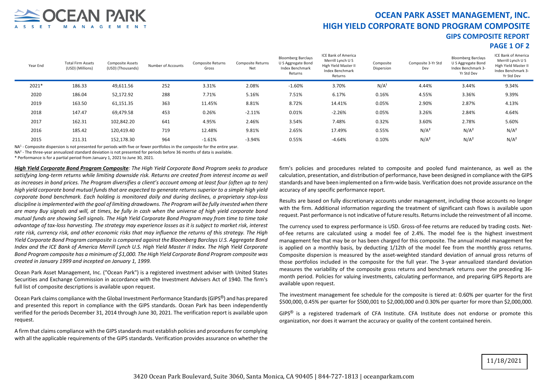

### **OCEAN PARK ASSET MANAGEMENT, INC. HIGH YIELD CORPORATE BOND PROGRAM COMPOSITE GIPS COMPOSITE REPORT**

### **PAGE 1 OF 2**

| Year End | <b>Total Firm Assets</b><br>(USD) (Millions) | <b>Composite Assets</b><br>(USD) (Thousands) | Number of Accounts | Composite Returns<br>Gross | <b>Composite Returns</b><br>Net | <b>Bloomberg Barclays</b><br>U S Aggregate Bond<br>Index Benchmark<br>Returns | <b>ICE Bank of America</b><br>Merrill Lynch U S<br>High Yield Master II<br>Index Benchmark<br>Returns | Composite<br>Dispersion | Composite 3-Yr Std<br>Dev | <b>Bloomberg Barclays</b><br>U S Aggregate Bond<br>Index Benchmark 3-<br>Yr Std Dev | <b>ICE Bank of America</b><br>Merrill Lynch U S<br>High Yield Master II<br>Index Benchmark 3-<br>Yr Std Dev |
|----------|----------------------------------------------|----------------------------------------------|--------------------|----------------------------|---------------------------------|-------------------------------------------------------------------------------|-------------------------------------------------------------------------------------------------------|-------------------------|---------------------------|-------------------------------------------------------------------------------------|-------------------------------------------------------------------------------------------------------------|
| 2021*    | 186.33                                       | 49,611.56                                    | 252                | 3.31%                      | 2.08%                           | $-1.60%$                                                                      | 3.70%                                                                                                 | N/A <sup>1</sup>        | 4.44%                     | 3.44%                                                                               | 9.34%                                                                                                       |
| 2020     | 186.04                                       | 52,172.92                                    | 288                | 7.71%                      | 5.16%                           | 7.51%                                                                         | 6.17%                                                                                                 | 0.16%                   | 4.55%                     | 3.36%                                                                               | 9.39%                                                                                                       |
| 2019     | 163.50                                       | 61,151.35                                    | 363                | 11.45%                     | 8.81%                           | 8.72%                                                                         | 14.41%                                                                                                | 0.05%                   | 2.90%                     | 2.87%                                                                               | 4.13%                                                                                                       |
| 2018     | 147.47                                       | 69,479.58                                    | 453                | 0.26%                      | $-2.11%$                        | 0.01%                                                                         | $-2.26%$                                                                                              | 0.05%                   | 3.26%                     | 2.84%                                                                               | 4.64%                                                                                                       |
| 2017     | 162.31                                       | 102,842.20                                   | 641                | 4.95%                      | 2.46%                           | 3.54%                                                                         | 7.48%                                                                                                 | 0.32%                   | 3.60%                     | 2.78%                                                                               | 5.60%                                                                                                       |
| 2016     | 185.42                                       | 120,419.40                                   | 719                | 12.48%                     | 9.81%                           | 2.65%                                                                         | 17.49%                                                                                                | 0.55%                   | N/A <sup>2</sup>          | N/A <sup>2</sup>                                                                    | N/A <sup>2</sup>                                                                                            |
| 2015     | 211.31                                       | 152,178.30                                   | 964                | $-1.61%$                   | $-3.94%$                        | 0.55%                                                                         | $-4.64%$                                                                                              | 0.10%                   | N/A <sup>2</sup>          | N/A <sup>2</sup>                                                                    | N/A <sup>2</sup>                                                                                            |

NA<sup>1</sup> - Composite dispersion is not presented for periods with five or fewer portfolios in the composite for the entire year.

NA<sup>2</sup> - The three-year annualized standard deviation is not presented for periods before 36 months of data is available.

\* Performance is for a partial period from January 1, 2021 to June 30, 2021.

*High Yield Corporate Bond Program Composite: The High Yield Corporate Bond Program seeks to produce*  satisfying long-term returns while limiting downside risk. Returns are created from interest income as well as increases in bond prices. The Program diversifies a client's account among at least four (often up to ten) *high yield corporate bond mutual funds that are expected to generate returns superior to a simple high yield corporate bond benchmark. Each holding is monitored daily and during declines, a proprietary stop-loss discipline is implemented with the goal of limiting drawdowns. The Program will be fully invested when there are many Buy signals and will, at times, be fully in cash when the universe of high yield corporate bond mutual funds are showing Sell signals. The High Yield Corporate Bond Program may from time to time take advantage of tax-loss harvesting. The strategy may experience losses as it is subject to market risk, interest rate risk, currency risk, and other economic risks that may influence the returns of this strategy. The High Yield Corporate Bond Program composite is compared against the Bloomberg Barclays U.S. Aggregate Bond Index and the ICE Bank of America Merrill Lynch U.S. High Yield Master II Index. The High Yield Corporate Bond Program composite has a minimum of \$1,000. The High Yield Corporate Bond Program composite was created in January 1999 and incepted on January 1, 1999.*

Ocean Park Asset Management, Inc. ("Ocean Park") is a registered investment adviser with United States Securities and Exchange Commission in accordance with the Investment Advisers Act of 1940. The firm's full list of composite descriptions is available upon request.

Ocean Park claims compliance with the Global Investment Performance Standards (GIPS<sup>®</sup>) and has prepared and presented this report in compliance with the GIPS standards. Ocean Park has been independently verified for the periods December 31, 2014 through June 30, 2021. The verification report is available upon request.

A firm that claims compliance with the GIPS standards must establish policies and procedures for complying with all the applicable requirements of the GIPS standards. Verification provides assurance on whether the firm's policies and procedures related to composite and pooled fund maintenance, as well as the calculation, presentation, and distribution of performance, have been designed in compliance with the GIPS standards and have been implemented on a firm-wide basis. Verification does not provide assurance on the accuracy of any specific performance report.

Results are based on fully discretionary accounts under management, including those accounts no longer with the firm. Additional information regarding the treatment of significant cash flows is available upon request. Past performance is not indicative of future results. Returns include the reinvestment of all income.

The currency used to express performance is USD. Gross-of-fee returns are reduced by trading costs. Netof-fee returns are calculated using a model fee of 2.4%. The model fee is the highest investment management fee that may be or has been charged for this composite. The annual model management fee is applied on a monthly basis, by deducting 1/12th of the model fee from the monthly gross returns. Composite dispersion is measured by the asset-weighted standard deviation of annual gross returns of those portfolios included in the composite for the full year. The 3-year annualized standard deviation measures the variability of the composite gross returns and benchmark returns over the preceding 36 month period. Policies for valuing investments, calculating performance, and preparing GIPS Reports are available upon request.

The investment management fee schedule for the composite is tiered at: 0.60% per quarter for the first \$500,000, 0.45% per quarter for \$500,001 to \$2,000,000 and 0.30% per quarter for more than \$2,000,000.

 $GIPS^{\circledR}$  is a registered trademark of CFA Institute. CFA Institute does not endorse or promote this organization, nor does it warrant the accuracy or quality of the content contained herein.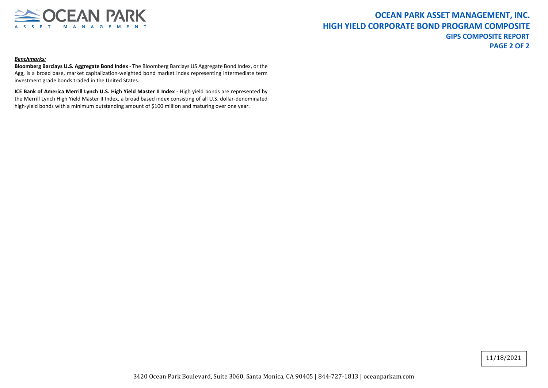

#### *Benchmarks:*

**Bloomberg Barclays U.S. Aggregate Bond Index** - The Bloomberg Barclays US Aggregate Bond Index, or the Agg, is a broad base, market capitalization-weighted bond market index representing intermediate term investment grade bonds traded in the United States.

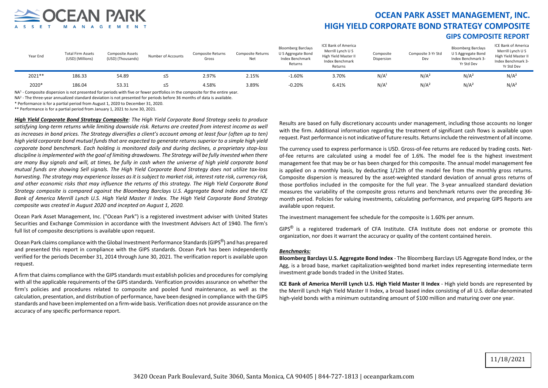

### **OCEAN PARK ASSET MANAGEMENT, INC. HIGH YIELD CORPORATE BOND STRATEGY COMPOSITE GIPS COMPOSITE REPORT**

| Year End | <b>Total Firm Assets</b><br>(USD) (Millions) | <b>Composite Assets</b><br>(USD) (Thousands) | Number of Accounts | Composite Returns<br>Gross | <b>Composite Returns</b><br>Net | <b>Bloomberg Barclays</b><br>U S Aggregate Bond<br>Index Benchmark<br>Returns | ICE Bank of America<br>Merrill Lynch U S<br>High Yield Master II<br>Index Benchmark<br>Returns | Composite<br>Dispersion | Composite 3-Yr Std<br>Dev | <b>Bloomberg Barclays</b><br>U S Aggregate Bond<br>Index Benchmark 3-<br>Yr Std Dev | ICE Bank of America<br>Merrill Lynch U S<br>High Yield Master II<br>Index Benchmark 3-<br>Yr Std Dev |
|----------|----------------------------------------------|----------------------------------------------|--------------------|----------------------------|---------------------------------|-------------------------------------------------------------------------------|------------------------------------------------------------------------------------------------|-------------------------|---------------------------|-------------------------------------------------------------------------------------|------------------------------------------------------------------------------------------------------|
| 2021 **  | 186.33                                       | 54.89                                        |                    | 2.97%                      | 2.15%                           | $-1.60%$                                                                      | 3.70%                                                                                          | N/A                     | N/A <sup>2</sup>          | N/A <sup>2</sup>                                                                    | N/A <sup>2</sup>                                                                                     |
| 2020*    | 186.04                                       | 53.31                                        | ≤5                 | 4.58%                      | 3.89%                           | $-0.20%$                                                                      | 6.41%                                                                                          | N/A                     | N/A <sup>2</sup>          | N/A <sup>2</sup>                                                                    | N/A <sup>2</sup>                                                                                     |

NA<sup>1</sup> - Composite dispersion is not presented for periods with five or fewer portfolios in the composite for the entire year.

NA<sup>2</sup> - The three-year annualized standard deviation is not presented for periods before 36 months of data is available.

\* Performance is for a partial period from August 1, 2020 to December 31, 2020.

\*\* Performance is for a partial period from January 1, 2021 to June 30, 2021.

*High Yield Corporate Bond Strategy Composite: The High Yield Corporate Bond Strategy seeks to produce*  satisfying long-term returns while limiting downside risk. Returns are created from interest income as well as increases in bond prices. The Strategy diversifies a client's account among at least four (often up to ten) *high yield corporate bond mutual funds that are expected to generate returns superior to a simple high yield corporate bond benchmark. Each holding is monitored daily and during declines, a proprietary stop-loss discipline is implemented with the goal of limiting drawdowns. The Strategy will be fully invested when there are many Buy signals and will, at times, be fully in cash when the universe of high yield corporate bond mutual funds are showing Sell signals. The High Yield Corporate Bond Strategy does not utilize tax-loss harvesting. The strategy may experience losses as it is subject to market risk, interest rate risk, currency risk, and other economic risks that may influence the returns of this strategy. The High Yield Corporate Bond Strategy composite is compared against the Bloomberg Barclays U.S. Aggregate Bond Index and the ICE Bank of America Merrill Lynch U.S. High Yield Master II Index. The High Yield Corporate Bond Strategy composite was created in August 2020 and incepted on August 1, 2020.*

Ocean Park Asset Management, Inc. ("Ocean Park") is a registered investment adviser with United States Securities and Exchange Commission in accordance with the Investment Advisers Act of 1940. The firm's full list of composite descriptions is available upon request.

Ocean Park claims compliance with the Global Investment Performance Standards (GIPS®) and has prepared and presented this report in compliance with the GIPS standards. Ocean Park has been independently verified for the periods December 31, 2014 through June 30, 2021. The verification report is available upon request.

A firm that claims compliance with the GIPS standards must establish policies and procedures for complying with all the applicable requirements of the GIPS standards. Verification provides assurance on whether the firm's policies and procedures related to composite and pooled fund maintenance, as well as the calculation, presentation, and distribution of performance, have been designed in compliance with the GIPS standards and have been implemented on a firm-wide basis. Verification does not provide assurance on the accuracy of any specific performance report.

Results are based on fully discretionary accounts under management, including those accounts no longer with the firm. Additional information regarding the treatment of significant cash flows is available upon request. Past performance is not indicative of future results. Returns include the reinvestment of all income.

The currency used to express performance is USD. Gross-of-fee returns are reduced by trading costs. Netof-fee returns are calculated using a model fee of 1.6%. The model fee is the highest investment management fee that may be or has been charged for this composite. The annual model management fee is applied on a monthly basis, by deducting 1/12th of the model fee from the monthly gross returns. Composite dispersion is measured by the asset-weighted standard deviation of annual gross returns of those portfolios included in the composite for the full year. The 3-year annualized standard deviation measures the variability of the composite gross returns and benchmark returns over the preceding 36 month period. Policies for valuing investments, calculating performance, and preparing GIPS Reports are available upon request.

The investment management fee schedule for the composite is 1.60% per annum.

 $GIPS^@$  is a registered trademark of CFA Institute. CFA Institute does not endorse or promote this organization, nor does it warrant the accuracy or quality of the content contained herein.

#### *Benchmarks:*

**Bloomberg Barclays U.S. Aggregate Bond Index** - The Bloomberg Barclays US Aggregate Bond Index, or the Agg, is a broad base, market capitalization-weighted bond market index representing intermediate term investment grade bonds traded in the United States.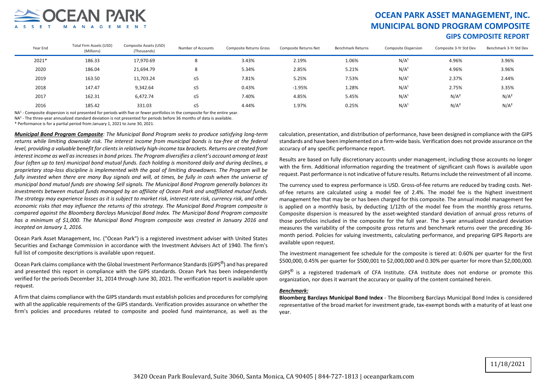

### **OCEAN PARK ASSET MANAGEMENT, INC. MUNICIPAL BOND PROGRAM COMPOSITE GIPS COMPOSITE REPORT**

| Year End | Total Firm Assets (USD)<br>(Millions) | Composite Assets (USD)<br>(Thousands) | Number of Accounts | <b>Composite Returns Gross</b> | Composite Returns Net | Benchmark Returns | <b>Composite Dispersion</b> | Composite 3-Yr Std Dev | Benchmark 3-Yr Std Dev |
|----------|---------------------------------------|---------------------------------------|--------------------|--------------------------------|-----------------------|-------------------|-----------------------------|------------------------|------------------------|
| 2021*    | 186.33                                | 17.970.69                             | $\circ$            | 3.43%                          | 2.19%                 | 1.06%             | N/A                         | 4.96%                  | 3.96%                  |
| 2020     | 186.04                                | 21,694.79                             |                    | 5.34%                          | 2.85%                 | 5.21%             | N/A                         | 4.96%                  | 3.96%                  |
| 2019     | 163.50                                | 11,703.24                             | $\leq 5$           | 7.81%                          | 5.25%                 | 7.53%             | N/A                         | 2.37%                  | 2.44%                  |
| 2018     | 147.47                                | 9,342.64                              | $\leq$ 5           | 0.43%                          | $-1.95%$              | 1.28%             | N/A                         | 2.75%                  | 3.35%                  |
| 2017     | 162.31                                | 6,472.74                              | $\leq$ 5           | 7.40%                          | 4.85%                 | 5.45%             | N/A                         | N/A <sup>2</sup>       | N/A <sup>2</sup>       |
| 2016     | 185.42                                | 331.03                                | $\leq 5$           | 4.44%                          | 1.97%                 | 0.25%             | N/A                         | N/A <sup>2</sup>       | N/A <sup>2</sup>       |

NA<sup>1</sup> - Composite dispersion is not presented for periods with five or fewer portfolios in the composite for the entire year.

NA<sup>2</sup> - The three-year annualized standard deviation is not presented for periods before 36 months of data is available.

\* Performance is for a partial period from January 1, 2021 to June 30, 2021.

*Municipal Bond Program Composite: The Municipal Bond Program seeks to produce satisfying long-term returns while limiting downside risk. The interest income from municipal bonds is tax-free at the federal level, providing a valuable benefit for clients in relatively high-income tax brackets. Returns are created from interest income as well as increases in bond prices. The Program diversifies a client's account among at least four (often up to ten) municipal bond mutual funds. Each holding is monitored daily and during declines, a proprietary stop-loss discipline is implemented with the goal of limiting drawdowns. The Program will be fully invested when there are many Buy signals and will, at times, be fully in cash when the universe of municipal bond mutual funds are showing Sell signals. The Municipal Bond Program generally balances its investments between mutual funds managed by an affiliate of Ocean Park and unaffiliated mutual funds. The strategy may experience losses as it is subject to market risk, interest rate risk, currency risk, and other economic risks that may influence the returns of this strategy. The Municipal Bond Program composite is compared against the Bloomberg Barclays Municipal Bond Index. The Municipal Bond Program composite has a minimum of \$1,000. The Municipal Bond Program composite was created in January 2016 and incepted on January 1, 2016.*

Ocean Park Asset Management, Inc. ("Ocean Park") is a registered investment adviser with United States Securities and Exchange Commission in accordance with the Investment Advisers Act of 1940. The firm's full list of composite descriptions is available upon request.

Ocean Park claims compliance with the Global Investment Performance Standards (GIPS<sup>®</sup>) and has prepared and presented this report in compliance with the GIPS standards. Ocean Park has been independently verified for the periods December 31, 2014 through June 30, 2021. The verification report is available upon request.

A firm that claims compliance with the GIPS standards must establish policies and procedures for complying with all the applicable requirements of the GIPS standards. Verification provides assurance on whether the firm's policies and procedures related to composite and pooled fund maintenance, as well as the calculation, presentation, and distribution of performance, have been designed in compliance with the GIPS standards and have been implemented on a firm-wide basis. Verification does not provide assurance on the accuracy of any specific performance report.

Results are based on fully discretionary accounts under management, including those accounts no longer with the firm. Additional information regarding the treatment of significant cash flows is available upon request. Past performance is not indicative of future results. Returns include the reinvestment of all income.

The currency used to express performance is USD. Gross-of-fee returns are reduced by trading costs. Netof-fee returns are calculated using a model fee of 2.4%. The model fee is the highest investment management fee that may be or has been charged for this composite. The annual model management fee is applied on a monthly basis, by deducting 1/12th of the model fee from the monthly gross returns. Composite dispersion is measured by the asset-weighted standard deviation of annual gross returns of those portfolios included in the composite for the full year. The 3-year annualized standard deviation measures the variability of the composite gross returns and benchmark returns over the preceding 36 month period. Policies for valuing investments, calculating performance, and preparing GIPS Reports are available upon request.

The investment management fee schedule for the composite is tiered at: 0.60% per quarter for the first \$500,000, 0.45% per quarter for \$500,001 to \$2,000,000 and 0.30% per quarter for more than \$2,000,000.

 $GIPS^{\circledR}$  is a registered trademark of CFA Institute. CFA Institute does not endorse or promote this organization, nor does it warrant the accuracy or quality of the content contained herein.

#### *Benchmark:*

**Bloomberg Barclays Municipal Bond Index** - The Bloomberg Barclays Municipal Bond Index is considered representative of the broad market for investment grade, tax-exempt bonds with a maturity of at least one year.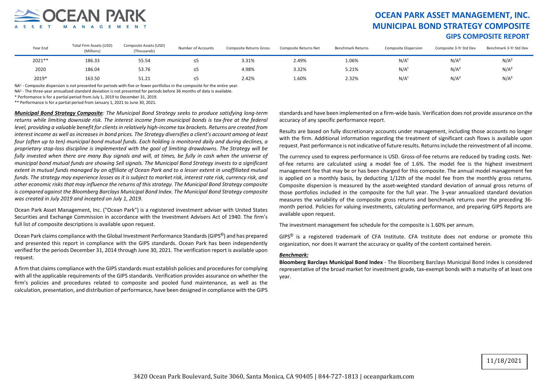

### **OCEAN PARK ASSET MANAGEMENT, INC. MUNICIPAL BOND STRATEGY COMPOSITE GIPS COMPOSITE REPORT**

| Year End | Total Firm Assets (USD)<br>(Millions) | Composite Assets (USD)<br>(Thousands) | Number of Accounts | <b>Composite Returns Gross</b> | Composite Returns Net | Benchmark Returns | <b>Composite Dispersion</b> | Composite 3-Yr Std Dev | Benchmark 3-Yr Std Dev |
|----------|---------------------------------------|---------------------------------------|--------------------|--------------------------------|-----------------------|-------------------|-----------------------------|------------------------|------------------------|
| 2021**   | 186.33                                | 55.54                                 | --                 | 3.31%                          | 2.49%                 | 1.06%             | N/A                         | N/A <sup>2</sup>       | N/A <sup>2</sup>       |
| 2020     | 186.04                                | 53.76                                 |                    | 4.98%                          | 3.32%                 | 5.21%             | N/A                         | N/A <sup>2</sup>       | N/A <sup>2</sup>       |
| 2019*    | 163.50                                | 51.21                                 |                    | 2.42%                          | 1.60%                 | 2.32%             | N/A                         | N/A <sup>2</sup>       | N/A <sup>2</sup>       |

NA<sup>1</sup> - Composite dispersion is not presented for periods with five or fewer portfolios in the composite for the entire year.

NA<sup>2</sup> - The three-year annualized standard deviation is not presented for periods before 36 months of data is available.

\* Performance is for a partial period from July 1, 2019 to December 31, 2019.

\*\* Performance is for a partial period from January 1, 2021 to June 30, 2021.

*Municipal Bond Strategy Composite: The Municipal Bond Strategy seeks to produce satisfying long-term returns while limiting downside risk. The interest income from municipal bonds is tax-free at the federal level, providing a valuable benefit for clients in relatively high-income tax brackets. Returns are created from* interest income as well as increases in bond prices. The Strategy diversifies a client's account among at least *four (often up to ten) municipal bond mutual funds. Each holding is monitored daily and during declines, a proprietary stop-loss discipline is implemented with the goal of limiting drawdowns. The Strategy will be fully invested when there are many Buy signals and will, at times, be fully in cash when the universe of municipal bond mutual funds are showing Sell signals. The Municipal Bond Strategy invests to a significant extent in mutual funds managed by an affiliate of Ocean Park and to a lesser extent in unaffiliated mutual funds. The strategy may experience losses as it is subject to market risk, interest rate risk, currency risk, and other economic risks that may influence the returns of this strategy. The Municipal Bond Strategy composite is compared against the Bloomberg Barclays Municipal Bond Index. The Municipal Bond Strategy composite was created in July 2019 and incepted on July 1, 2019.*

Ocean Park Asset Management, Inc. ("Ocean Park") is a registered investment adviser with United States Securities and Exchange Commission in accordance with the Investment Advisers Act of 1940. The firm's full list of composite descriptions is available upon request.

Ocean Park claims compliance with the Global Investment Performance Standards (GIPS<sup>®</sup>) and has prepared and presented this report in compliance with the GIPS standards. Ocean Park has been independently verified for the periods December 31, 2014 through June 30, 2021. The verification report is available upon request.

A firm that claims compliance with the GIPS standards must establish policies and procedures for complying with all the applicable requirements of the GIPS standards. Verification provides assurance on whether the firm's policies and procedures related to composite and pooled fund maintenance, as well as the calculation, presentation, and distribution of performance, have been designed in compliance with the GIPS standards and have been implemented on a firm-wide basis. Verification does not provide assurance on the accuracy of any specific performance report.

Results are based on fully discretionary accounts under management, including those accounts no longer with the firm. Additional information regarding the treatment of significant cash flows is available upon request. Past performance is not indicative of future results. Returns include the reinvestment of all income.

The currency used to express performance is USD. Gross-of-fee returns are reduced by trading costs. Netof-fee returns are calculated using a model fee of 1.6%. The model fee is the highest investment management fee that may be or has been charged for this composite. The annual model management fee is applied on a monthly basis, by deducting 1/12th of the model fee from the monthly gross returns. Composite dispersion is measured by the asset-weighted standard deviation of annual gross returns of those portfolios included in the composite for the full year. The 3-year annualized standard deviation measures the variability of the composite gross returns and benchmark returns over the preceding 36 month period. Policies for valuing investments, calculating performance, and preparing GIPS Reports are available upon request.

The investment management fee schedule for the composite is 1.60% per annum.

 $GIPS^{\circledR}$  is a registered trademark of CFA Institute. CFA Institute does not endorse or promote this organization, nor does it warrant the accuracy or quality of the content contained herein.

#### *Benchmark:*

**Bloomberg Barclays Municipal Bond Index** - The Bloomberg Barclays Municipal Bond Index is considered representative of the broad market for investment grade, tax-exempt bonds with a maturity of at least one year.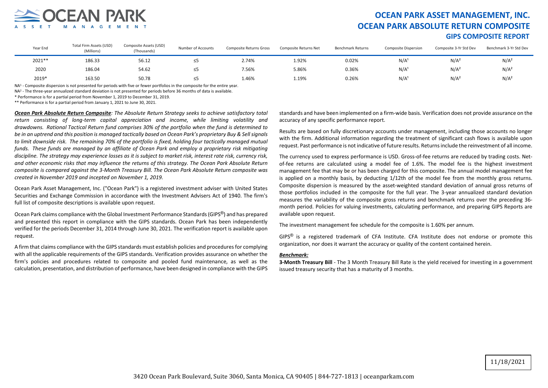

### **OCEAN PARK ASSET MANAGEMENT, INC. OCEAN PARK ABSOLUTE RETURN COMPOSITE GIPS COMPOSITE REPORT**

| Year End | Total Firm Assets (USD)<br>(Millions) | Composite Assets (USD)<br>(Thousands) | Number of Accounts | <b>Composite Returns Gross</b> | Composite Returns Net | Benchmark Returns | <b>Composite Dispersion</b> | Composite 3-Yr Std Dev | Benchmark 3-Yr Std Dev |
|----------|---------------------------------------|---------------------------------------|--------------------|--------------------------------|-----------------------|-------------------|-----------------------------|------------------------|------------------------|
| 2021**   | 186.33                                | 56.12                                 |                    | 2.74%                          | 1.92%                 | 0.02%             | N/A                         | N/A <sup>2</sup>       | N/A <sup>2</sup>       |
| 2020     | 186.04                                | 54.62                                 |                    | 7.56%                          | 5.86%                 | 0.36%             | N/A                         | N/A                    | N/A <sup>2</sup>       |
| 2019*    | 163.50                                | 50.78                                 |                    | 1.46%                          | 1.19%                 | 0.26%             | N/A                         | N/A                    | $N/A^2$                |

NA<sup>1</sup> - Composite dispersion is not presented for periods with five or fewer portfolios in the composite for the entire year.

NA<sup>2</sup> - The three-year annualized standard deviation is not presented for periods before 36 months of data is available.

\* Performance is for a partial period from November 1, 2019 to December 31, 2019.

\*\* Performance is for a partial period from January 1, 2021 to June 30, 2021.

*Ocean Park Absolute Return Composite: The Absolute Return Strategy seeks to achieve satisfactory total return consisting of long-term capital appreciation and income, while limiting volatility and drawdowns. Rational Tactical Return fund comprises 30% of the portfolio when the fund is determined to be in an uptrend and this position is managed tactically based on Ocean Park's proprietary Buy & Sell signals*  to limit downside risk. The remaining 70% of the portfolio is fixed, holding four tactically managed mutual *funds. These funds are managed by an affiliate of Ocean Park and employ a proprietary risk mitigating discipline. The strategy may experience losses as it is subject to market risk, interest rate risk, currency risk, and other economic risks that may influence the returns of this strategy. The Ocean Park Absolute Return composite is compared against the 3-Month Treasury Bill. The Ocean Park Absolute Return composite was created in November 2019 and incepted on November 1, 2019.*

Ocean Park Asset Management, Inc. ("Ocean Park") is a registered investment adviser with United States Securities and Exchange Commission in accordance with the Investment Advisers Act of 1940. The firm's full list of composite descriptions is available upon request.

Ocean Park claims compliance with the Global Investment Performance Standards (GIPS®) and has prepared and presented this report in compliance with the GIPS standards. Ocean Park has been independently verified for the periods December 31, 2014 through June 30, 2021. The verification report is available upon request.

A firm that claims compliance with the GIPS standards must establish policies and procedures for complying with all the applicable requirements of the GIPS standards. Verification provides assurance on whether the firm's policies and procedures related to composite and pooled fund maintenance, as well as the calculation, presentation, and distribution of performance, have been designed in compliance with the GIPS

standards and have been implemented on a firm-wide basis. Verification does not provide assurance on the accuracy of any specific performance report.

Results are based on fully discretionary accounts under management, including those accounts no longer with the firm. Additional information regarding the treatment of significant cash flows is available upon request. Past performance is not indicative of future results. Returns include the reinvestment of all income.

The currency used to express performance is USD. Gross-of-fee returns are reduced by trading costs. Netof-fee returns are calculated using a model fee of 1.6%. The model fee is the highest investment management fee that may be or has been charged for this composite. The annual model management fee is applied on a monthly basis, by deducting 1/12th of the model fee from the monthly gross returns. Composite dispersion is measured by the asset-weighted standard deviation of annual gross returns of those portfolios included in the composite for the full year. The 3-year annualized standard deviation measures the variability of the composite gross returns and benchmark returns over the preceding 36 month period. Policies for valuing investments, calculating performance, and preparing GIPS Reports are available upon request.

The investment management fee schedule for the composite is 1.60% per annum.

 $GIPS^{\circledR}$  is a registered trademark of CFA Institute. CFA Institute does not endorse or promote this organization, nor does it warrant the accuracy or quality of the content contained herein.

#### *Benchmark:*

**3-Month Treasury Bill** - The 3 Month Treasury Bill Rate is the yield received for investing in a government issued treasury security that has a maturity of 3 months.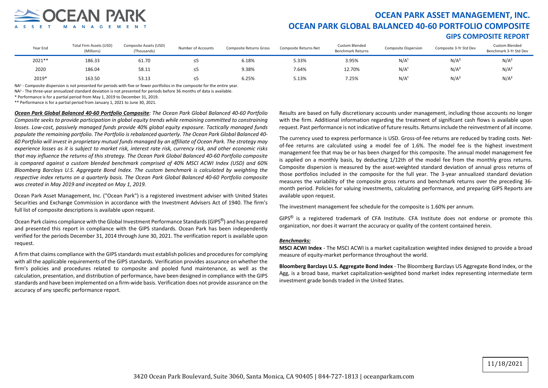

### **OCEAN PARK ASSET MANAGEMENT, INC. OCEAN PARK GLOBAL BALANCED 40-60 PORTFOLIO COMPOSITE GIPS COMPOSITE REPORT**

| Year End | Total Firm Assets (USD)<br>(Millions) | Composite Assets (USD)<br>(Thousands) | Number of Accounts | Composite Returns Gross | Composite Returns Net | <b>Custom Blended</b><br><b>Benchmark Returns</b> | <b>Composite Dispersion</b> | Composite 3-Yr Std Dev | <b>Custom Blended</b><br>Benchmark 3-Yr Std Dev |
|----------|---------------------------------------|---------------------------------------|--------------------|-------------------------|-----------------------|---------------------------------------------------|-----------------------------|------------------------|-------------------------------------------------|
| 2021**   | 186.33                                | 61.70                                 |                    | 6.18%                   | 5.33%                 | 3.95%                                             | N/A <sup>1</sup>            | N/A <sup>2</sup>       | N/A <sup>2</sup>                                |
| 2020     | 186.04                                | 58.11                                 |                    | 9.38%                   | 7.64%                 | 12.70%                                            | N/A <sup>1</sup>            | N/A <sup>2</sup>       | N/A <sup>2</sup>                                |
| 2019*    | 163.50                                | 53.13                                 |                    | 6.25%                   | 5.13%                 | 7.25%                                             | N/A <sup>1</sup>            | N/A <sup>2</sup>       | N/A <sup>2</sup>                                |

NA<sup>1</sup> - Composite dispersion is not presented for periods with five or fewer portfolios in the composite for the entire year.

NA<sup>2</sup> - The three-year annualized standard deviation is not presented for periods before 36 months of data is available.

\* Performance is for a partial period from May 1, 2019 to December 31, 2019.

\*\* Performance is for a partial period from January 1, 2021 to June 30, 2021.

*Ocean Park Global Balanced 40-60 Portfolio Composite: The Ocean Park Global Balanced 40-60 Portfolio Composite seeks to provide participation in global equity trends while remaining committed to constraining losses. Low-cost, passively managed funds provide 40% global equity exposure. Tactically managed funds populate the remaining portfolio. The Portfolio is rebalanced quarterly. The Ocean Park Global Balanced 40- 60 Portfolio will invest in proprietary mutual funds managed by an affiliate of Ocean Park. The strategy may experience losses as it is subject to market risk, interest rate risk, currency risk, and other economic risks that may influence the returns of this strategy. The Ocean Park Global Balanced 40-60 Portfolio composite is compared against a custom blended benchmark comprised of 40% MSCI ACWI Index (USD) and 60% Bloomberg Barclays U.S. Aggregate Bond Index. The custom benchmark is calculated by weighting the respective index returns on a quarterly basis. The Ocean Park Global Balanced 40-60 Portfolio composite was created in May 2019 and incepted on May 1, 2019.*

Ocean Park Asset Management, Inc. ("Ocean Park") is a registered investment adviser with United States Securities and Exchange Commission in accordance with the Investment Advisers Act of 1940. The firm's full list of composite descriptions is available upon request.

Ocean Park claims compliance with the Global Investment Performance Standards (GIPS<sup>®</sup>) and has prepared and presented this report in compliance with the GIPS standards. Ocean Park has been independently verified for the periods December 31, 2014 through June 30, 2021. The verification report is available upon request.

A firm that claims compliance with the GIPS standards must establish policies and procedures for complying with all the applicable requirements of the GIPS standards. Verification provides assurance on whether the firm's policies and procedures related to composite and pooled fund maintenance, as well as the calculation, presentation, and distribution of performance, have been designed in compliance with the GIPS standards and have been implemented on a firm-wide basis. Verification does not provide assurance on the accuracy of any specific performance report.

Results are based on fully discretionary accounts under management, including those accounts no longer with the firm. Additional information regarding the treatment of significant cash flows is available upon request. Past performance is not indicative of future results. Returns include the reinvestment of all income.

The currency used to express performance is USD. Gross-of-fee returns are reduced by trading costs. Netof-fee returns are calculated using a model fee of 1.6%. The model fee is the highest investment management fee that may be or has been charged for this composite. The annual model management fee is applied on a monthly basis, by deducting 1/12th of the model fee from the monthly gross returns. Composite dispersion is measured by the asset-weighted standard deviation of annual gross returns of those portfolios included in the composite for the full year. The 3-year annualized standard deviation measures the variability of the composite gross returns and benchmark returns over the preceding 36 month period. Policies for valuing investments, calculating performance, and preparing GIPS Reports are available upon request.

The investment management fee schedule for the composite is 1.60% per annum.

 $GIPS^{\circledR}$  is a registered trademark of CFA Institute. CFA Institute does not endorse or promote this organization, nor does it warrant the accuracy or quality of the content contained herein.

#### *Benchmarks:*

**MSCI ACWI Index** - The MSCI ACWI is a market capitalization weighted index designed to provide a broad measure of equity-market performance throughout the world.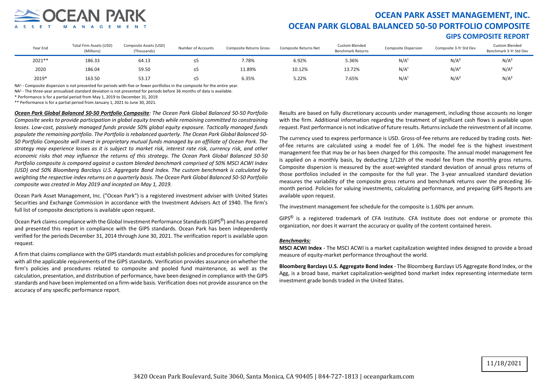

### **OCEAN PARK ASSET MANAGEMENT, INC. OCEAN PARK GLOBAL BALANCED 50-50 PORTFOLIO COMPOSITE GIPS COMPOSITE REPORT**

| Year End | Total Firm Assets (USD)<br>(Millions) | Composite Assets (USD)<br>(Thousands) | Number of Accounts | Composite Returns Gross | Composite Returns Net | <b>Custom Blended</b><br><b>Benchmark Returns</b> | <b>Composite Dispersion</b> | Composite 3-Yr Std Dev | <b>Custom Blended</b><br>Benchmark 3-Yr Std Dev |
|----------|---------------------------------------|---------------------------------------|--------------------|-------------------------|-----------------------|---------------------------------------------------|-----------------------------|------------------------|-------------------------------------------------|
| 2021**   | 186.33                                | 64.13                                 |                    | 7.78%                   | 6.92%                 | 5.36%                                             | N/A <sup>1</sup>            | N/A <sup>2</sup>       | N/A <sup>2</sup>                                |
| 2020     | 186.04                                | 59.50                                 |                    | 11.89%                  | 10.12%                | 13.72%                                            | N/A <sup>1</sup>            | N/A <sup>2</sup>       | N/A <sup>2</sup>                                |
| 2019*    | 163.50                                | 53.17                                 |                    | 6.35%                   | 5.22%                 | 7.65%                                             | N/A <sup>1</sup>            | N/A <sup>2</sup>       | N/A <sup>2</sup>                                |

NA<sup>1</sup> - Composite dispersion is not presented for periods with five or fewer portfolios in the composite for the entire year.

NA<sup>2</sup> - The three-year annualized standard deviation is not presented for periods before 36 months of data is available.

\* Performance is for a partial period from May 1, 2019 to December 31, 2019.

\*\* Performance is for a partial period from January 1, 2021 to June 30, 2021.

*Ocean Park Global Balanced 50-50 Portfolio Composite: The Ocean Park Global Balanced 50-50 Portfolio Composite seeks to provide participation in global equity trends while remaining committed to constraining losses. Low-cost, passively managed funds provide 50% global equity exposure. Tactically managed funds populate the remaining portfolio. The Portfolio is rebalanced quarterly. The Ocean Park Global Balanced 50- 50 Portfolio Composite will invest in proprietary mutual funds managed by an affiliate of Ocean Park. The strategy may experience losses as it is subject to market risk, interest rate risk, currency risk, and other economic risks that may influence the returns of this strategy. The Ocean Park Global Balanced 50-50 Portfolio composite is compared against a custom blended benchmark comprised of 50% MSCI ACWI Index (USD) and 50% Bloomberg Barclays U.S. Aggregate Bond Index. The custom benchmark is calculated by weighting the respective index returns on a quarterly basis. The Ocean Park Global Balanced 50-50 Portfolio composite was created in May 2019 and incepted on May 1, 2019.*

Ocean Park Asset Management, Inc. ("Ocean Park") is a registered investment adviser with United States Securities and Exchange Commission in accordance with the Investment Advisers Act of 1940. The firm's full list of composite descriptions is available upon request.

Ocean Park claims compliance with the Global Investment Performance Standards (GIPS<sup>®</sup>) and has prepared and presented this report in compliance with the GIPS standards. Ocean Park has been independently verified for the periods December 31, 2014 through June 30, 2021. The verification report is available upon request.

A firm that claims compliance with the GIPS standards must establish policies and procedures for complying with all the applicable requirements of the GIPS standards. Verification provides assurance on whether the firm's policies and procedures related to composite and pooled fund maintenance, as well as the calculation, presentation, and distribution of performance, have been designed in compliance with the GIPS standards and have been implemented on a firm-wide basis. Verification does not provide assurance on the accuracy of any specific performance report.

Results are based on fully discretionary accounts under management, including those accounts no longer with the firm. Additional information regarding the treatment of significant cash flows is available upon request. Past performance is not indicative of future results. Returns include the reinvestment of all income.

The currency used to express performance is USD. Gross-of-fee returns are reduced by trading costs. Netof-fee returns are calculated using a model fee of 1.6%. The model fee is the highest investment management fee that may be or has been charged for this composite. The annual model management fee is applied on a monthly basis, by deducting 1/12th of the model fee from the monthly gross returns. Composite dispersion is measured by the asset-weighted standard deviation of annual gross returns of those portfolios included in the composite for the full year. The 3-year annualized standard deviation measures the variability of the composite gross returns and benchmark returns over the preceding 36 month period. Policies for valuing investments, calculating performance, and preparing GIPS Reports are available upon request.

The investment management fee schedule for the composite is 1.60% per annum.

 $GIPS^{\circledR}$  is a registered trademark of CFA Institute. CFA Institute does not endorse or promote this organization, nor does it warrant the accuracy or quality of the content contained herein.

#### *Benchmarks:*

**MSCI ACWI Index** - The MSCI ACWI is a market capitalization weighted index designed to provide a broad measure of equity-market performance throughout the world.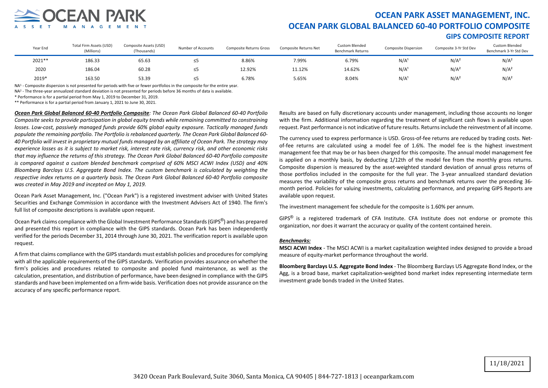

### **OCEAN PARK ASSET MANAGEMENT, INC. OCEAN PARK GLOBAL BALANCED 60-40 PORTFOLIO COMPOSITE GIPS COMPOSITE REPORT**

| Year End | Total Firm Assets (USD)<br>(Millions) | Composite Assets (USD)<br>(Thousands) | Number of Accounts | Composite Returns Gross | Composite Returns Net | <b>Custom Blended</b><br><b>Benchmark Returns</b> | <b>Composite Dispersion</b> | Composite 3-Yr Std Dev | <b>Custom Blended</b><br>Benchmark 3-Yr Std Dev |
|----------|---------------------------------------|---------------------------------------|--------------------|-------------------------|-----------------------|---------------------------------------------------|-----------------------------|------------------------|-------------------------------------------------|
| 2021**   | 186.33                                | 65.63                                 | --                 | 8.86%                   | 7.99%                 | 6.79%                                             | N/A <sup>1</sup>            | N/A <sup>2</sup>       | N/A <sup>2</sup>                                |
| 2020     | 186.04                                | 60.28                                 | --                 | 12.92%                  | 11.12%                | 14.62%                                            | N/A <sup>1</sup>            | N/A <sup>2</sup>       | N/A <sup>2</sup>                                |
| 2019*    | 163.50                                | 53.39                                 |                    | 6.78%                   | 5.65%                 | 8.04%                                             | N/A <sup>1</sup>            | N/A <sup>2</sup>       | N/A <sup>2</sup>                                |

NA<sup>1</sup> - Composite dispersion is not presented for periods with five or fewer portfolios in the composite for the entire year.

NA<sup>2</sup> - The three-year annualized standard deviation is not presented for periods before 36 months of data is available.

\* Performance is for a partial period from May 1, 2019 to December 31, 2019.

\*\* Performance is for a partial period from January 1, 2021 to June 30, 2021.

*Ocean Park Global Balanced 60-40 Portfolio Composite: The Ocean Park Global Balanced 60-40 Portfolio Composite seeks to provide participation in global equity trends while remaining committed to constraining losses. Low-cost, passively managed funds provide 60% global equity exposure. Tactically managed funds populate the remaining portfolio. The Portfolio is rebalanced quarterly. The Ocean Park Global Balanced 60- 40 Portfolio will invest in proprietary mutual funds managed by an affiliate of Ocean Park. The strategy may experience losses as it is subject to market risk, interest rate risk, currency risk, and other economic risks that may influence the returns of this strategy. The Ocean Park Global Balanced 60-40 Portfolio composite is compared against a custom blended benchmark comprised of 60% MSCI ACWI Index (USD) and 40% Bloomberg Barclays U.S. Aggregate Bond Index. The custom benchmark is calculated by weighting the respective index returns on a quarterly basis. The Ocean Park Global Balanced 60-40 Portfolio composite was created in May 2019 and incepted on May 1, 2019.*

Ocean Park Asset Management, Inc. ("Ocean Park") is a registered investment adviser with United States Securities and Exchange Commission in accordance with the Investment Advisers Act of 1940. The firm's full list of composite descriptions is available upon request.

Ocean Park claims compliance with the Global Investment Performance Standards (GIPS<sup>®</sup>) and has prepared and presented this report in compliance with the GIPS standards. Ocean Park has been independently verified for the periods December 31, 2014 through June 30, 2021. The verification report is available upon request.

A firm that claims compliance with the GIPS standards must establish policies and procedures for complying with all the applicable requirements of the GIPS standards. Verification provides assurance on whether the firm's policies and procedures related to composite and pooled fund maintenance, as well as the calculation, presentation, and distribution of performance, have been designed in compliance with the GIPS standards and have been implemented on a firm-wide basis. Verification does not provide assurance on the accuracy of any specific performance report.

Results are based on fully discretionary accounts under management, including those accounts no longer with the firm. Additional information regarding the treatment of significant cash flows is available upon request. Past performance is not indicative of future results. Returns include the reinvestment of all income.

The currency used to express performance is USD. Gross-of-fee returns are reduced by trading costs. Netof-fee returns are calculated using a model fee of 1.6%. The model fee is the highest investment management fee that may be or has been charged for this composite. The annual model management fee is applied on a monthly basis, by deducting 1/12th of the model fee from the monthly gross returns. Composite dispersion is measured by the asset-weighted standard deviation of annual gross returns of those portfolios included in the composite for the full year. The 3-year annualized standard deviation measures the variability of the composite gross returns and benchmark returns over the preceding 36 month period. Policies for valuing investments, calculating performance, and preparing GIPS Reports are available upon request.

The investment management fee schedule for the composite is 1.60% per annum.

 $GIPS^{\circledR}$  is a registered trademark of CFA Institute. CFA Institute does not endorse or promote this organization, nor does it warrant the accuracy or quality of the content contained herein.

#### *Benchmarks:*

**MSCI ACWI Index** - The MSCI ACWI is a market capitalization weighted index designed to provide a broad measure of equity-market performance throughout the world.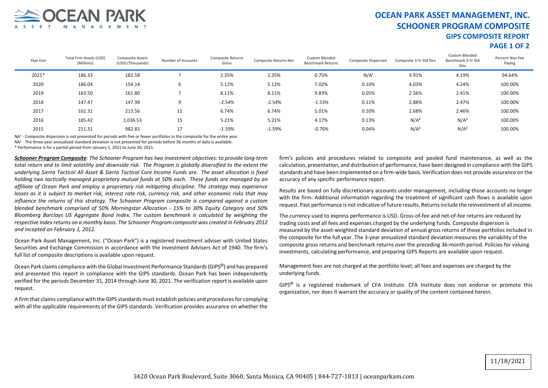

# **OCEAN PARK ASSET MANAGEMENT, INC. SCHOONER PROGRAM COMPOSITE GIPS COMPOSITE REPORT**

### **PAGE 1 OF 2**

| Year End | Total Firm Assets (USD)<br>(Millions) | <b>Composite Assets</b><br>(USD) (Thousands) | Number of Accounts | Composite Returns<br>Gross | Composite Returns Net | Custom Blended<br><b>Benchmark Returns</b> | Composite Dispersion | Composite 3-Yr Std Dev | <b>Custom Blended</b><br>Benchmark 3-Yr Std<br>Dev | Percent Non-Fee<br>Paying |
|----------|---------------------------------------|----------------------------------------------|--------------------|----------------------------|-----------------------|--------------------------------------------|----------------------|------------------------|----------------------------------------------------|---------------------------|
| 2021*    | 186.33                                | 182.58                                       |                    | 2.35%                      | 2.35%                 | 0.75%                                      | N/A <sup>1</sup>     | 3.91%                  | 4.19%                                              | 94.64%                    |
| 2020     | 186.04                                | 154.14                                       |                    | 5.12%                      | 5.12%                 | 7.02%                                      | 0.10%                | 4.03%                  | 4.24%                                              | 100.00%                   |
| 2019     | 163.50                                | 161.80                                       |                    | 8.11%                      | 8.11%                 | 9.83%                                      | 0.05%                | 2.56%                  | 2.41%                                              | 100.00%                   |
| 2018     | 147.47                                | 147.98                                       |                    | $-2.54%$                   | $-2.54%$              | $-1.53%$                                   | 0.11%                | 2.88%                  | 2.47%                                              | 100.00%                   |
| 2017     | 162.31                                | 213.56                                       | 11                 | 6.74%                      | 6.74%                 | 5.01%                                      | 0.10%                | 2.68%                  | 2.46%                                              | 100.00%                   |
| 2016     | 185.42                                | 1,036.53                                     | 15                 | 5.21%                      | 5.21%                 | 4.17%                                      | 0.13%                | $N/A^2$                | N/A <sup>2</sup>                                   | 100.00%                   |
| 2015     | 211.31                                | 982.83                                       | 17                 | $-1.59%$                   | $-1.59%$              | $-0.76%$                                   | 0.04%                | N/A <sup>2</sup>       | N/A <sup>2</sup>                                   | 100.00%                   |

NA<sup>1</sup> - Composite dispersion is not presented for periods with five or fewer portfolios in the composite for the entire year.

NA<sup>2</sup> - The three-year annualized standard deviation is not presented for periods before 36 months of data is available.

\* Performance is for a partial period from January 1, 2021 to June 30, 2021.

*Schooner Program Composite: The Schooner Program has two investment objectives: to provide long-term total return and to limit volatility and downside risk. The Program is globally diversified to the extent the underlying Sierra Tactical All Asset & Sierra Tactical Core Income Funds are. The asset allocation is fixed holding two tactically managed proprietary mutual funds at 50% each. These funds are managed by an affiliate of Ocean Park and employ a proprietary risk mitigating discipline. The strategy may experience losses as it is subject to market risk, interest rate risk, currency risk, and other economic risks that may influence the returns of this strategy. The Schooner Program composite is compared against a custom blended benchmark comprised of 50% Morningstar Allocation - 15% to 30% Equity Category and 50% Bloomberg Barclays US Aggregate Bond Index. The custom benchmark is calculated by weighting the respective index returns on a monthly basis. The Schooner Program composite was created in February 2012 and incepted on February 1, 2012.*

Ocean Park Asset Management, Inc. ("Ocean Park") is a registered investment adviser with United States Securities and Exchange Commission in accordance with the Investment Advisers Act of 1940. The firm's full list of composite descriptions is available upon request.

Ocean Park claims compliance with the Global Investment Performance Standards (GIPS<sup>®</sup>) and has prepared and presented this report in compliance with the GIPS standards. Ocean Park has been independently verified for the periods December 31, 2014 through June 30, 2021. The verification report is available upon request.

A firm that claims compliance with the GIPS standards must establish policies and procedures for complying with all the applicable requirements of the GIPS standards. Verification provides assurance on whether the

firm's policies and procedures related to composite and pooled fund maintenance, as well as the calculation, presentation, and distribution of performance, have been designed in compliance with the GIPS standards and have been implemented on a firm-wide basis. Verification does not provide assurance on the accuracy of any specific performance report.

Results are based on fully discretionary accounts under management, including those accounts no longer with the firm. Additional information regarding the treatment of significant cash flows is available upon request. Past performance is not indicative of future results. Returns include the reinvestment of all income.

The currency used to express performance is USD. Gross-of-fee and net-of-fee returns are reduced by trading costs and all fees and expenses charged by the underlying funds. Composite dispersion is measured by the asset-weighted standard deviation of annual gross returns of those portfolios included in the composite for the full year. The 3-year annualized standard deviation measures the variability of the composite gross returns and benchmark returns over the preceding 36-month period. Policies for valuing investments, calculating performance, and preparing GIPS Reports are available upon request.

Management fees are not charged at the portfolio level; all fees and expenses are charged by the underlying funds.

GIPS® is a registered trademark of CFA Institute. CFA Institute does not endorse or promote this organization, nor does it warrant the accuracy or quality of the content contained herein.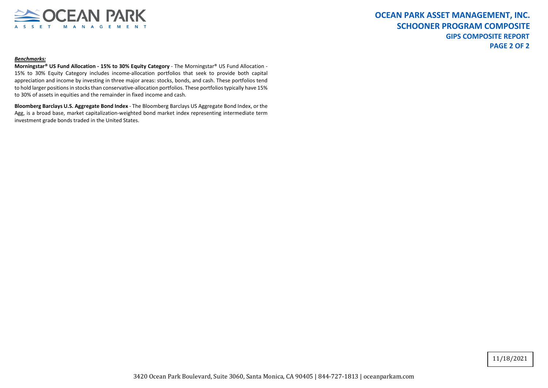

#### *Benchmarks:*

**Morningstar® US Fund Allocation - 15% to 30% Equity Category** - The Morningstar® US Fund Allocation - 15% to 30% Equity Category includes income-allocation portfolios that seek to provide both capital appreciation and income by investing in three major areas: stocks, bonds, and cash. These portfolios tend to hold larger positions in stocks than conservative-allocation portfolios. These portfolios typically have 15% to 30% of assets in equities and the remainder in fixed income and cash.

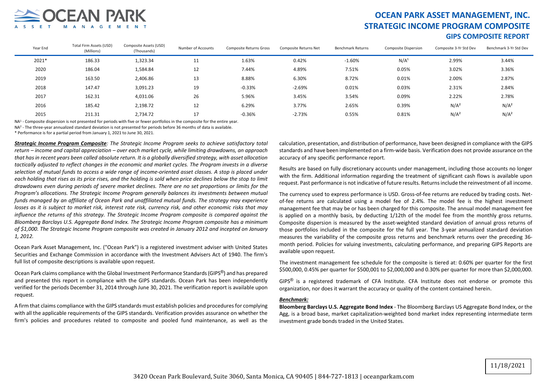

## **OCEAN PARK ASSET MANAGEMENT, INC. STRATEGIC INCOME PROGRAM COMPOSITE GIPS COMPOSITE REPORT**

| Year End | Total Firm Assets (USD)<br>(Millions) | Composite Assets (USD)<br>(Thousands) | Number of Accounts | Composite Returns Gross | Composite Returns Net | Benchmark Returns | <b>Composite Dispersion</b> | Composite 3-Yr Std Dev | Benchmark 3-Yr Std Dev |
|----------|---------------------------------------|---------------------------------------|--------------------|-------------------------|-----------------------|-------------------|-----------------------------|------------------------|------------------------|
| 2021*    | 186.33                                | 1,323.34                              | 11<br>ᆠᅶ           | 1.63%                   | 0.42%                 | $-1.60%$          | N/A <sup>1</sup>            | 2.99%                  | 3.44%                  |
| 2020     | 186.04                                | 1,584.84                              | 12                 | 7.44%                   | 4.89%                 | 7.51%             | 0.05%                       | 3.02%                  | 3.36%                  |
| 2019     | 163.50                                | 2,406.86                              | 13                 | 8.88%                   | 6.30%                 | 8.72%             | 0.01%                       | 2.00%                  | 2.87%                  |
| 2018     | 147.47                                | 3,091.23                              | 19                 | $-0.33%$                | $-2.69%$              | 0.01%             | 0.03%                       | 2.31%                  | 2.84%                  |
| 2017     | 162.31                                | 4,031.06                              | 26                 | 5.96%                   | 3.45%                 | 3.54%             | 0.09%                       | 2.22%                  | 2.78%                  |
| 2016     | 185.42                                | 2,198.72                              | 12                 | 6.29%                   | 3.77%                 | 2.65%             | 0.39%                       | N/A <sup>2</sup>       | N/A <sup>2</sup>       |
| 2015     | 211.31                                | 2,734.72                              | 17                 | $-0.36%$                | $-2.73%$              | 0.55%             | 0.81%                       | N/A <sup>2</sup>       | N/A <sup>2</sup>       |

NA<sup>1</sup> - Composite dispersion is not presented for periods with five or fewer portfolios in the composite for the entire year.

NA<sup>2</sup> - The three-year annualized standard deviation is not presented for periods before 36 months of data is available.

\* Performance is for a partial period from January 1, 2021 to June 30, 2021.

*Strategic Income Program Composite: The Strategic Income Program seeks to achieve satisfactory total return – income and capital appreciation – over each market cycle, while limiting drawdowns, an approach that has in recent years been called absolute return. It is a globally diversified strategy, with asset allocation tactically adjusted to reflect changes in the economic and market cycles. The Program invests in a diverse selection of mutual funds to access a wide range of income-oriented asset classes. A stop is placed under each holding that rises as its price rises, and the holding is sold when price declines below the stop to limit drawdowns even during periods of severe market declines. There are no set proportions or limits for the Program's allocations. The Strategic Income Program generally balances its investments between mutual funds managed by an affiliate of Ocean Park and unaffiliated mutual funds. The strategy may experience losses as it is subject to market risk, interest rate risk, currency risk, and other economic risks that may influence the returns of this strategy. The Strategic Income Program composite is compared against the Bloomberg Barclays U.S. Aggregate Bond Index. The Strategic Income Program composite has a minimum of \$1,000. The Strategic Income Program composite was created in January 2012 and incepted on January 1, 2012.*

Ocean Park Asset Management, Inc. ("Ocean Park") is a registered investment adviser with United States Securities and Exchange Commission in accordance with the Investment Advisers Act of 1940. The firm's full list of composite descriptions is available upon request.

Ocean Park claims compliance with the Global Investment Performance Standards (GIPS<sup>®</sup>) and has prepared and presented this report in compliance with the GIPS standards. Ocean Park has been independently verified for the periods December 31, 2014 through June 30, 2021. The verification report is available upon request.

A firm that claims compliance with the GIPS standards must establish policies and procedures for complying with all the applicable requirements of the GIPS standards. Verification provides assurance on whether the firm's policies and procedures related to composite and pooled fund maintenance, as well as the

calculation, presentation, and distribution of performance, have been designed in compliance with the GIPS standards and have been implemented on a firm-wide basis. Verification does not provide assurance on the accuracy of any specific performance report.

Results are based on fully discretionary accounts under management, including those accounts no longer with the firm. Additional information regarding the treatment of significant cash flows is available upon request. Past performance is not indicative of future results. Returns include the reinvestment of all income.

The currency used to express performance is USD. Gross-of-fee returns are reduced by trading costs. Netof-fee returns are calculated using a model fee of 2.4%. The model fee is the highest investment management fee that may be or has been charged for this composite. The annual model management fee is applied on a monthly basis, by deducting 1/12th of the model fee from the monthly gross returns. Composite dispersion is measured by the asset-weighted standard deviation of annual gross returns of those portfolios included in the composite for the full year. The 3-year annualized standard deviation measures the variability of the composite gross returns and benchmark returns over the preceding 36 month period. Policies for valuing investments, calculating performance, and preparing GIPS Reports are available upon request.

The investment management fee schedule for the composite is tiered at: 0.60% per quarter for the first \$500,000, 0.45% per quarter for \$500,001 to \$2,000,000 and 0.30% per quarter for more than \$2,000,000.

GIPS® is a registered trademark of CFA Institute. CFA Institute does not endorse or promote this organization, nor does it warrant the accuracy or quality of the content contained herein.

#### *Benchmark:*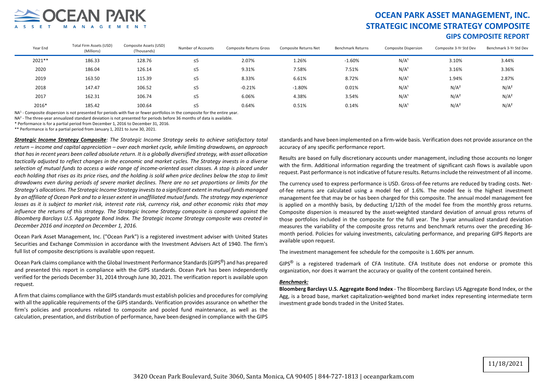

## **OCEAN PARK ASSET MANAGEMENT, INC. STRATEGIC INCOME STRATEGY COMPOSITE GIPS COMPOSITE REPORT**

| Year End | Total Firm Assets (USD)<br>(Millions) | Composite Assets (USD)<br>(Thousands) | Number of Accounts | <b>Composite Returns Gross</b> | Composite Returns Net | Benchmark Returns | <b>Composite Dispersion</b> | Composite 3-Yr Std Dev | Benchmark 3-Yr Std Dev |
|----------|---------------------------------------|---------------------------------------|--------------------|--------------------------------|-----------------------|-------------------|-----------------------------|------------------------|------------------------|
| $2021**$ | 186.33                                | 128.76                                | $\leq$ 5           | 2.07%                          | 1.26%                 | $-1.60%$          | N/A                         | 3.10%                  | 3.44%                  |
| 2020     | 186.04                                | 126.14                                | $\leq$ 5           | 9.31%                          | 7.58%                 | 7.51%             | N/A <sup>1</sup>            | 3.16%                  | 3.36%                  |
| 2019     | 163.50                                | 115.39                                | $\leq$ 5           | 8.33%                          | 6.61%                 | 8.72%             | N/A <sup>1</sup>            | 1.94%                  | 2.87%                  |
| 2018     | 147.47                                | 106.52                                | $\leq$ 5           | $-0.21%$                       | $-1.80%$              | 0.01%             | N/A <sup>1</sup>            | N/A <sup>2</sup>       | N/A <sup>2</sup>       |
| 2017     | 162.31                                | 106.74                                | ≤5                 | 6.06%                          | 4.38%                 | 3.54%             | N/A                         | N/A <sup>2</sup>       | N/A <sup>2</sup>       |
| 2016*    | 185.42                                | 100.64                                | $\leq$ 5           | 0.64%                          | 0.51%                 | 0.14%             | N/A                         | N/A <sup>2</sup>       | N/A <sup>2</sup>       |

NA<sup>1</sup> - Composite dispersion is not presented for periods with five or fewer portfolios in the composite for the entire year.

NA<sup>2</sup> - The three-year annualized standard deviation is not presented for periods before 36 months of data is available.

\* Performance is for a partial period from December 1, 2016 to December 31, 2016.

\*\* Performance is for a partial period from January 1, 2021 to June 30, 2021.

*Strategic Income Strategy Composite: The Strategic Income Strategy seeks to achieve satisfactory total return – income and capital appreciation – over each market cycle, while limiting drawdowns, an approach that has in recent years been called absolute return. It is a globally diversified strategy, with asset allocation tactically adjusted to reflect changes in the economic and market cycles. The Strategy invests in a diverse selection of mutual funds to access a wide range of income-oriented asset classes. A stop is placed under*  each holding that rises as its price rises, and the holding is sold when price declines below the stop to limit *drawdowns even during periods of severe market declines. There are no set proportions or limits for the Strategy's allocations. The Strategic Income Strategy invests to a significant extent in mutual funds managed by an affiliate of Ocean Park and to a lesser extent in unaffiliated mutual funds. The strategy may experience losses as it is subject to market risk, interest rate risk, currency risk, and other economic risks that may influence the returns of this strategy. The Strategic Income Strategy composite is compared against the Bloomberg Barclays U.S. Aggregate Bond Index. The Strategic Income Strategy composite was created in December 2016 and incepted on December 1, 2016.*

Ocean Park Asset Management, Inc. ("Ocean Park") is a registered investment adviser with United States Securities and Exchange Commission in accordance with the Investment Advisers Act of 1940. The firm's full list of composite descriptions is available upon request.

Ocean Park claims compliance with the Global Investment Performance Standards (GIPS<sup>®</sup>) and has prepared and presented this report in compliance with the GIPS standards. Ocean Park has been independently verified for the periods December 31, 2014 through June 30, 2021. The verification report is available upon request.

A firm that claims compliance with the GIPS standards must establish policies and procedures for complying with all the applicable requirements of the GIPS standards. Verification provides assurance on whether the firm's policies and procedures related to composite and pooled fund maintenance, as well as the calculation, presentation, and distribution of performance, have been designed in compliance with the GIPS standards and have been implemented on a firm-wide basis. Verification does not provide assurance on the accuracy of any specific performance report.

Results are based on fully discretionary accounts under management, including those accounts no longer with the firm. Additional information regarding the treatment of significant cash flows is available upon request. Past performance is not indicative of future results. Returns include the reinvestment of all income.

The currency used to express performance is USD. Gross-of-fee returns are reduced by trading costs. Netof-fee returns are calculated using a model fee of 1.6%. The model fee is the highest investment management fee that may be or has been charged for this composite. The annual model management fee is applied on a monthly basis, by deducting 1/12th of the model fee from the monthly gross returns. Composite dispersion is measured by the asset-weighted standard deviation of annual gross returns of those portfolios included in the composite for the full year. The 3-year annualized standard deviation measures the variability of the composite gross returns and benchmark returns over the preceding 36 month period. Policies for valuing investments, calculating performance, and preparing GIPS Reports are available upon request.

The investment management fee schedule for the composite is 1.60% per annum.

 $GIPS^@$  is a registered trademark of CFA Institute. CFA Institute does not endorse or promote this organization, nor does it warrant the accuracy or quality of the content contained herein.

#### *Benchmark:*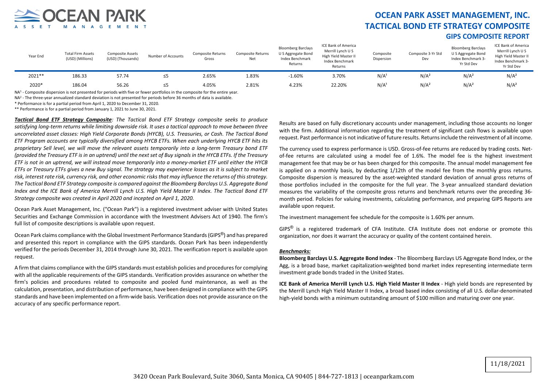

## **OCEAN PARK ASSET MANAGEMENT, INC. TACTICAL BOND ETF STRATEGY COMPOSITE GIPS COMPOSITE REPORT**

| Year End | <b>Total Firm Assets</b><br>(USD) (Millions) | Composite Assets<br>(USD) (Thousands) | Number of Accounts | Composite Returns<br>Gross | Composite Returns<br>Net | <b>Bloomberg Barclays</b><br>U S Aggregate Bond<br>Index Benchmark<br>Returns | <b>ICE Bank of America</b><br>Merrill Lynch U S<br>High Yield Master II<br>Index Benchmark<br>Returns | Composite<br>Dispersion | Composite 3-Yr Std<br>Dev | <b>Bloomberg Barclays</b><br>U S Aggregate Bond<br>Index Benchmark 3-<br>Yr Std Dev | ICE Bank of America<br>Merrill Lynch U S<br>High Yield Master II<br>Index Benchmark 3-<br>Yr Std Dev |
|----------|----------------------------------------------|---------------------------------------|--------------------|----------------------------|--------------------------|-------------------------------------------------------------------------------|-------------------------------------------------------------------------------------------------------|-------------------------|---------------------------|-------------------------------------------------------------------------------------|------------------------------------------------------------------------------------------------------|
| 2021**   | 186.33                                       | 57.74                                 | ≤5                 | 2.65%                      | 1.83%                    | $-1.60%$                                                                      | 3.70%                                                                                                 | N/A                     | N/A <sup>2</sup>          | N/A <sup>2</sup>                                                                    | $N/A^2$                                                                                              |
| 2020*    | 186.04                                       | 56.26                                 | ≤5                 | 4.05%                      | 2.81%                    | 4.23%                                                                         | 22.20%                                                                                                | N/A                     | N/A <sup>2</sup>          | N/A <sup>2</sup>                                                                    | $N/A^2$                                                                                              |

NA<sup>1</sup> - Composite dispersion is not presented for periods with five or fewer portfolios in the composite for the entire year.

NA<sup>2</sup> - The three-year annualized standard deviation is not presented for periods before 36 months of data is available.

\* Performance is for a partial period from April 1, 2020 to December 31, 2020.

\*\* Performance is for a partial period from January 1, 2021 to June 30, 2021.

*Tactical Bond ETF Strategy Composite: The Tactical Bond ETF Strategy composite seeks to produce satisfying long-term returns while limiting downside risk. It uses a tactical approach to move between three uncorrelated asset classes: High Yield Corporate Bonds (HYCB), U.S. Treasuries, or Cash. The Tactical Bond ETF Program accounts are typically diversified among HYCB ETFs. When each underlying HYCB ETF hits its proprietary Sell level, we will move the relevant assets temporarily into a long-term Treasury bond ETF (provided the Treasury ETF is in an uptrend) until the next set of Buy signals in the HYCB ETFs. If the Treasury ETF is not in an uptrend, we will instead move temporarily into a money-market ETF until either the HYCB ETFs or Treasury ETFs gives a new Buy signal. The strategy may experience losses as it is subject to market risk, interest rate risk, currency risk, and other economic risks that may influence the returns of this strategy. The Tactical Bond ETF Strategy composite is compared against the Bloomberg Barclays U.S. Aggregate Bond Index and the ICE Bank of America Merrill Lynch U.S. High Yield Master II Index. The Tactical Bond ETF Strategy composite was created in April 2020 and incepted on April 1, 2020.*

Ocean Park Asset Management, Inc. ("Ocean Park") is a registered investment adviser with United States Securities and Exchange Commission in accordance with the Investment Advisers Act of 1940. The firm's full list of composite descriptions is available upon request.

Ocean Park claims compliance with the Global Investment Performance Standards (GIPS®) and has prepared and presented this report in compliance with the GIPS standards. Ocean Park has been independently verified for the periods December 31, 2014 through June 30, 2021. The verification report is available upon request.

A firm that claims compliance with the GIPS standards must establish policies and procedures for complying with all the applicable requirements of the GIPS standards. Verification provides assurance on whether the firm's policies and procedures related to composite and pooled fund maintenance, as well as the calculation, presentation, and distribution of performance, have been designed in compliance with the GIPS standards and have been implemented on a firm-wide basis. Verification does not provide assurance on the accuracy of any specific performance report.

Results are based on fully discretionary accounts under management, including those accounts no longer with the firm. Additional information regarding the treatment of significant cash flows is available upon request. Past performance is not indicative of future results. Returns include the reinvestment of all income.

The currency used to express performance is USD. Gross-of-fee returns are reduced by trading costs. Netof-fee returns are calculated using a model fee of 1.6%. The model fee is the highest investment management fee that may be or has been charged for this composite. The annual model management fee is applied on a monthly basis, by deducting 1/12th of the model fee from the monthly gross returns. Composite dispersion is measured by the asset-weighted standard deviation of annual gross returns of those portfolios included in the composite for the full year. The 3-year annualized standard deviation measures the variability of the composite gross returns and benchmark returns over the preceding 36 month period. Policies for valuing investments, calculating performance, and preparing GIPS Reports are available upon request.

The investment management fee schedule for the composite is 1.60% per annum.

 $GIPS^@$  is a registered trademark of CFA Institute. CFA Institute does not endorse or promote this organization, nor does it warrant the accuracy or quality of the content contained herein.

#### *Benchmarks:*

**Bloomberg Barclays U.S. Aggregate Bond Index** - The Bloomberg Barclays US Aggregate Bond Index, or the Agg, is a broad base, market capitalization-weighted bond market index representing intermediate term investment grade bonds traded in the United States.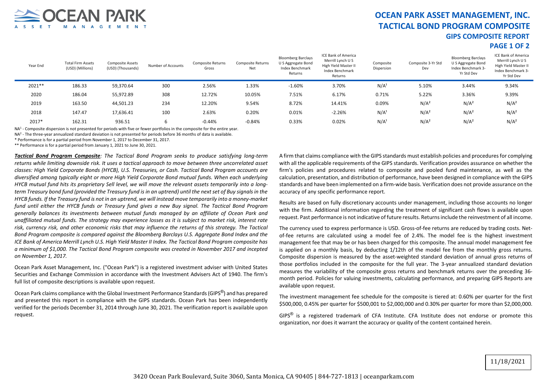

# **OCEAN PARK ASSET MANAGEMENT, INC. TACTICAL BOND PROGRAM COMPOSITE GIPS COMPOSITE REPORT**

### **PAGE 1 OF 2**

| Year End | <b>Total Firm Assets</b><br>(USD) (Millions) | <b>Composite Assets</b><br>(USD) (Thousands) | Number of Accounts | Composite Returns<br>Gross | <b>Composite Returns</b><br>Net | <b>Bloomberg Barclays</b><br>U S Aggregate Bond<br>Index Benchmark<br>Returns | ICE Bank of America<br>Merrill Lynch U S<br>High Yield Master II<br>Index Benchmark<br>Returns | Composite<br>Dispersion | Composite 3-Yr Std<br>Dev | <b>Bloomberg Barclays</b><br>U S Aggregate Bond<br>Index Benchmark 3-<br>Yr Std Dev | ICE Bank of America<br>Merrill Lynch U S<br>High Yield Master II<br>Index Benchmark 3-<br>Yr Std Dev |
|----------|----------------------------------------------|----------------------------------------------|--------------------|----------------------------|---------------------------------|-------------------------------------------------------------------------------|------------------------------------------------------------------------------------------------|-------------------------|---------------------------|-------------------------------------------------------------------------------------|------------------------------------------------------------------------------------------------------|
| 2021**   | 186.33                                       | 59,370.64                                    | 300                | 2.56%                      | 1.33%                           | $-1.60%$                                                                      | 3.70%                                                                                          | N/A <sup>1</sup>        | 5.10%                     | 3.44%                                                                               | 9.34%                                                                                                |
| 2020     | 186.04                                       | 55,972.89                                    | 308                | 12.72%                     | 10.05%                          | 7.51%                                                                         | 6.17%                                                                                          | 0.71%                   | 5.22%                     | 3.36%                                                                               | 9.39%                                                                                                |
| 2019     | 163.50                                       | 44,501.23                                    | 234                | 12.20%                     | 9.54%                           | 8.72%                                                                         | 14.41%                                                                                         | 0.09%                   | N/A <sup>2</sup>          | N/A <sup>2</sup>                                                                    | N/A <sup>2</sup>                                                                                     |
| 2018     | 147.47                                       | 17,636.41                                    | 100                | 2.63%                      | 0.20%                           | 0.01%                                                                         | $-2.26%$                                                                                       | N/A <sup>1</sup>        | N/A <sup>2</sup>          | N/A <sup>2</sup>                                                                    | N/A <sup>2</sup>                                                                                     |
| 2017*    | 162.31                                       | 936.51                                       |                    | $-0.44%$                   | $-0.84%$                        | 0.33%                                                                         | 0.02%                                                                                          | N/A <sup>1</sup>        | N/A <sup>2</sup>          | N/A <sup>2</sup>                                                                    | N/A <sup>2</sup>                                                                                     |
|          |                                              |                                              |                    |                            |                                 |                                                                               |                                                                                                |                         |                           |                                                                                     |                                                                                                      |

NA<sup>1</sup> - Composite dispersion is not presented for periods with five or fewer portfolios in the composite for the entire year.

NA<sup>2</sup> - The three-year annualized standard deviation is not presented for periods before 36 months of data is available.

\* Performance is for a partial period from November 1, 2017 to December 31, 2017.

\*\* Performance is for a partial period from January 1, 2021 to June 30, 2021.

*Tactical Bond Program Composite: The Tactical Bond Program seeks to produce satisfying long-term returns while limiting downside risk. It uses a tactical approach to move between three uncorrelated asset classes: High Yield Corporate Bonds (HYCB), U.S. Treasuries, or Cash. Tactical Bond Program accounts are diversified among typically eight or more High Yield Corporate Bond mutual funds. When each underlying HYCB mutual fund hits its proprietary Sell level, we will move the relevant assets temporarily into a longterm Treasury bond fund (provided the Treasury fund is in an uptrend) until the next set of Buy signals in the HYCB funds. If the Treasury fund is not in an uptrend, we will instead move temporarily into a money-market fund until either the HYCB funds or Treasury fund gives a new Buy signal. The Tactical Bond Program generally balances its investments between mutual funds managed by an affiliate of Ocean Park and unaffiliated mutual funds. The strategy may experience losses as it is subject to market risk, interest rate*  risk, currency risk, and other economic risks that may influence the returns of this strategy. The Tactical *Bond Program composite is compared against the Bloomberg Barclays U.S. Aggregate Bond Index and the ICE Bank of America Merrill Lynch U.S. High Yield Master II Index. The Tactical Bond Program composite has a minimum of \$1,000. The Tactical Bond Program composite was created in November 2017 and incepted on November 1, 2017.*

Ocean Park Asset Management, Inc. ("Ocean Park") is a registered investment adviser with United States Securities and Exchange Commission in accordance with the Investment Advisers Act of 1940. The firm's full list of composite descriptions is available upon request.

Ocean Park claims compliance with the Global Investment Performance Standards (GIPS<sup>®</sup>) and has prepared and presented this report in compliance with the GIPS standards. Ocean Park has been independently verified for the periods December 31, 2014 through June 30, 2021. The verification report is available upon request.

A firm that claims compliance with the GIPS standards must establish policies and procedures for complying with all the applicable requirements of the GIPS standards. Verification provides assurance on whether the firm's policies and procedures related to composite and pooled fund maintenance, as well as the calculation, presentation, and distribution of performance, have been designed in compliance with the GIPS standards and have been implemented on a firm-wide basis. Verification does not provide assurance on the accuracy of any specific performance report.

Results are based on fully discretionary accounts under management, including those accounts no longer with the firm. Additional information regarding the treatment of significant cash flows is available upon request. Past performance is not indicative of future results. Returns include the reinvestment of all income.

The currency used to express performance is USD. Gross-of-fee returns are reduced by trading costs. Netof-fee returns are calculated using a model fee of 2.4%. The model fee is the highest investment management fee that may be or has been charged for this composite. The annual model management fee is applied on a monthly basis, by deducting 1/12th of the model fee from the monthly gross returns. Composite dispersion is measured by the asset-weighted standard deviation of annual gross returns of those portfolios included in the composite for the full year. The 3-year annualized standard deviation measures the variability of the composite gross returns and benchmark returns over the preceding 36 month period. Policies for valuing investments, calculating performance, and preparing GIPS Reports are available upon request.

The investment management fee schedule for the composite is tiered at: 0.60% per quarter for the first \$500,000, 0.45% per quarter for \$500,001 to \$2,000,000 and 0.30% per quarter for more than \$2,000,000.

 $GIPS<sup>®</sup>$  is a registered trademark of CFA Institute. CFA Institute does not endorse or promote this organization, nor does it warrant the accuracy or quality of the content contained herein.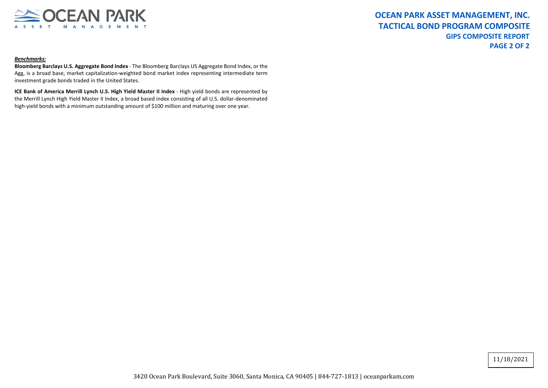

#### *Benchmarks:*

**Bloomberg Barclays U.S. Aggregate Bond Index** - The Bloomberg Barclays US Aggregate Bond Index, or the Agg, is a broad base, market capitalization-weighted bond market index representing intermediate term investment grade bonds traded in the United States.